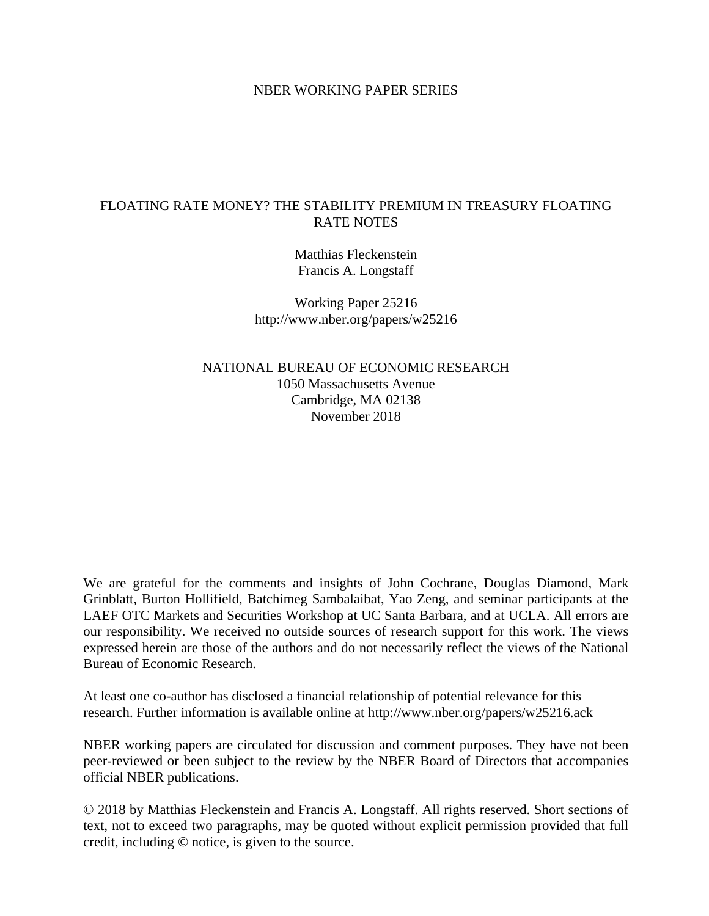# NBER WORKING PAPER SERIES

# FLOATING RATE MONEY? THE STABILITY PREMIUM IN TREASURY FLOATING RATE NOTES

Matthias Fleckenstein Francis A. Longstaff

Working Paper 25216 http://www.nber.org/papers/w25216

NATIONAL BUREAU OF ECONOMIC RESEARCH 1050 Massachusetts Avenue Cambridge, MA 02138 November 2018

We are grateful for the comments and insights of John Cochrane, Douglas Diamond, Mark Grinblatt, Burton Hollifield, Batchimeg Sambalaibat, Yao Zeng, and seminar participants at the LAEF OTC Markets and Securities Workshop at UC Santa Barbara, and at UCLA. All errors are our responsibility. We received no outside sources of research support for this work. The views expressed herein are those of the authors and do not necessarily reflect the views of the National Bureau of Economic Research.

At least one co-author has disclosed a financial relationship of potential relevance for this research. Further information is available online at http://www.nber.org/papers/w25216.ack

NBER working papers are circulated for discussion and comment purposes. They have not been peer-reviewed or been subject to the review by the NBER Board of Directors that accompanies official NBER publications.

© 2018 by Matthias Fleckenstein and Francis A. Longstaff. All rights reserved. Short sections of text, not to exceed two paragraphs, may be quoted without explicit permission provided that full credit, including © notice, is given to the source.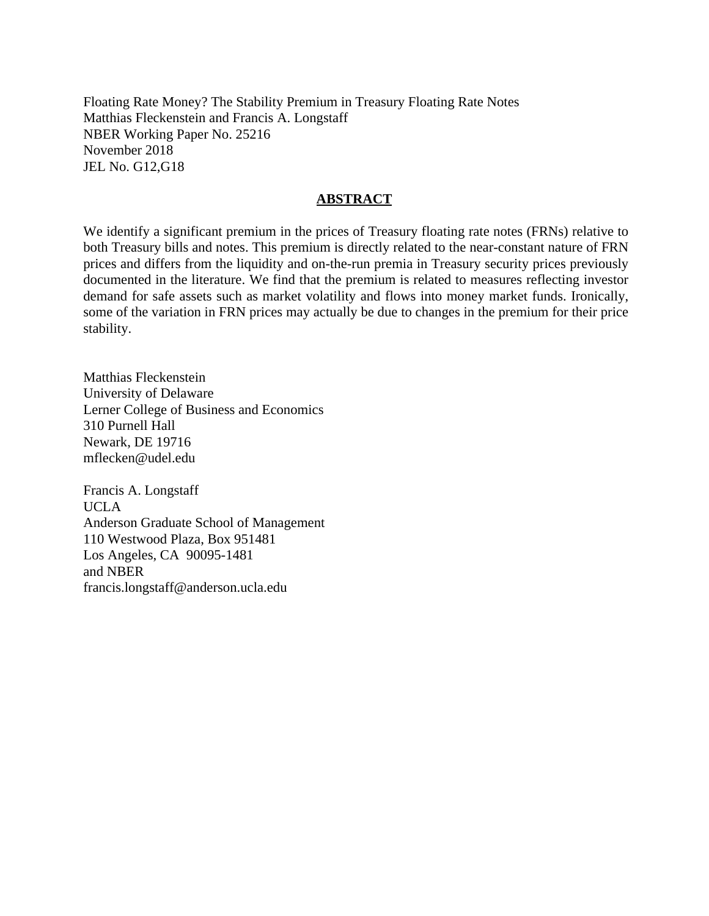Floating Rate Money? The Stability Premium in Treasury Floating Rate Notes Matthias Fleckenstein and Francis A. Longstaff NBER Working Paper No. 25216 November 2018 JEL No. G12,G18

# **ABSTRACT**

We identify a significant premium in the prices of Treasury floating rate notes (FRNs) relative to both Treasury bills and notes. This premium is directly related to the near-constant nature of FRN prices and differs from the liquidity and on-the-run premia in Treasury security prices previously documented in the literature. We find that the premium is related to measures reflecting investor demand for safe assets such as market volatility and flows into money market funds. Ironically, some of the variation in FRN prices may actually be due to changes in the premium for their price stability.

Matthias Fleckenstein University of Delaware Lerner College of Business and Economics 310 Purnell Hall Newark, DE 19716 mflecken@udel.edu

Francis A. Longstaff UCLA Anderson Graduate School of Management 110 Westwood Plaza, Box 951481 Los Angeles, CA 90095-1481 and NBER francis.longstaff@anderson.ucla.edu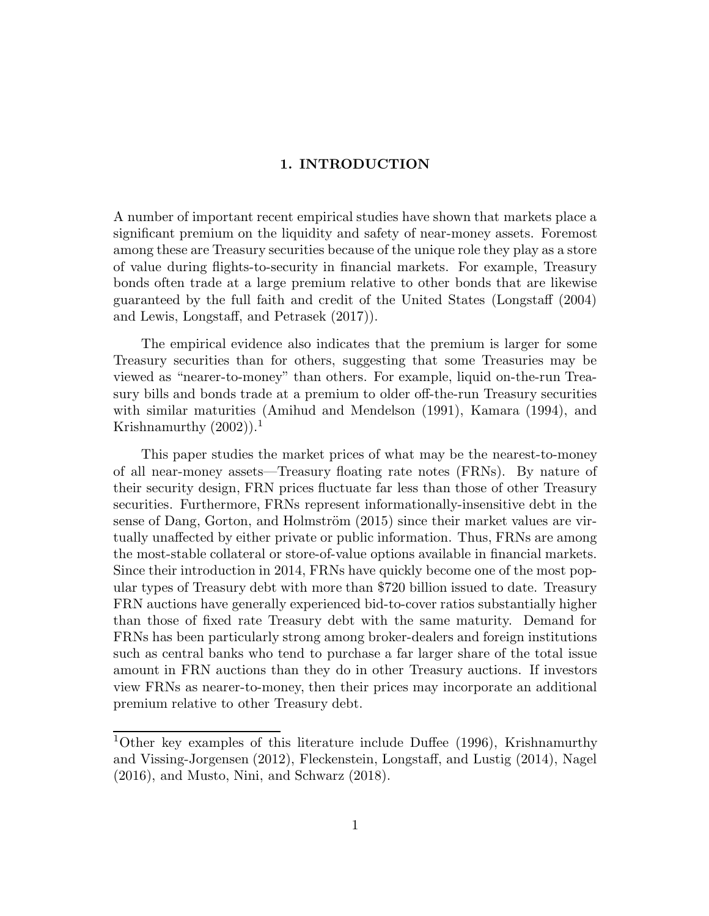# 1. INTRODUCTION

A number of important recent empirical studies have shown that markets place a significant premium on the liquidity and safety of near-money assets. Foremost among these are Treasury securities because of the unique role they play as a store of value during flights-to-security in financial markets. For example, Treasury bonds often trade at a large premium relative to other bonds that are likewise guaranteed by the full faith and credit of the United States (Longstaff (2004) and Lewis, Longstaff, and Petrasek (2017)).

The empirical evidence also indicates that the premium is larger for some Treasury securities than for others, suggesting that some Treasuries may be viewed as "nearer-to-money" than others. For example, liquid on-the-run Treasury bills and bonds trade at a premium to older off-the-run Treasury securities with similar maturities (Amihud and Mendelson (1991), Kamara (1994), and Krishnamurthy  $(2002)$ ).<sup>1</sup>

This paper studies the market prices of what may be the nearest-to-money of all near-money assets—Treasury floating rate notes (FRNs). By nature of their security design, FRN prices fluctuate far less than those of other Treasury securities. Furthermore, FRNs represent informationally-insensitive debt in the sense of Dang, Gorton, and Holmström (2015) since their market values are virtually unaffected by either private or public information. Thus, FRNs are among the most-stable collateral or store-of-value options available in financial markets. Since their introduction in 2014, FRNs have quickly become one of the most popular types of Treasury debt with more than \$720 billion issued to date. Treasury FRN auctions have generally experienced bid-to-cover ratios substantially higher than those of fixed rate Treasury debt with the same maturity. Demand for FRNs has been particularly strong among broker-dealers and foreign institutions such as central banks who tend to purchase a far larger share of the total issue amount in FRN auctions than they do in other Treasury auctions. If investors view FRNs as nearer-to-money, then their prices may incorporate an additional premium relative to other Treasury debt.

<sup>&</sup>lt;sup>1</sup>Other key examples of this literature include Duffee (1996), Krishnamurthy and Vissing-Jorgensen (2012), Fleckenstein, Longstaff, and Lustig (2014), Nagel (2016), and Musto, Nini, and Schwarz (2018).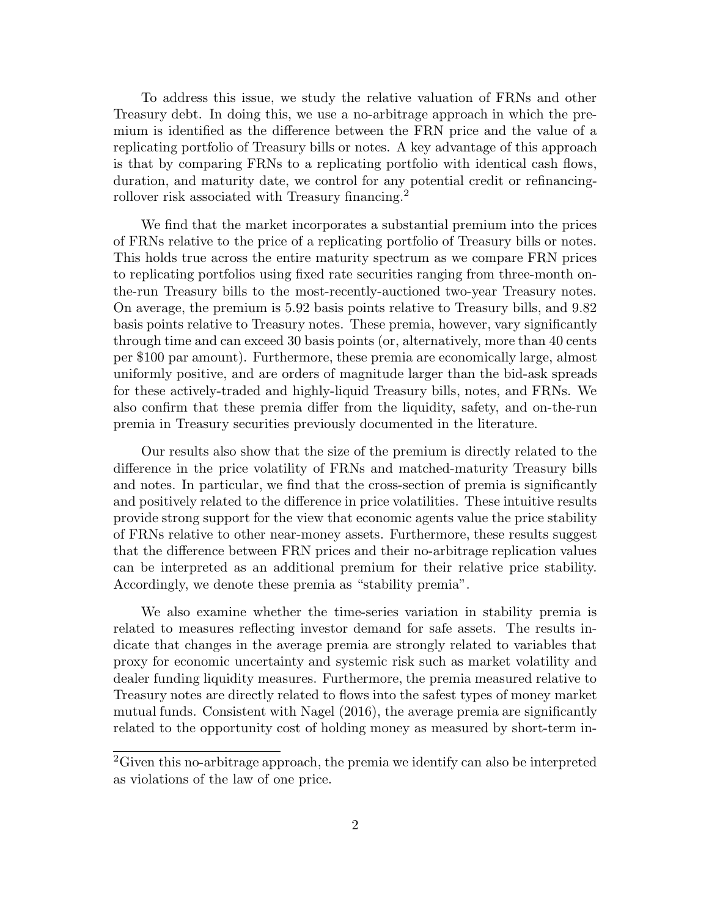To address this issue, we study the relative valuation of FRNs and other Treasury debt. In doing this, we use a no-arbitrage approach in which the premium is identified as the difference between the FRN price and the value of a replicating portfolio of Treasury bills or notes. A key advantage of this approach is that by comparing FRNs to a replicating portfolio with identical cash flows, duration, and maturity date, we control for any potential credit or refinancingrollover risk associated with Treasury financing.<sup>2</sup>

We find that the market incorporates a substantial premium into the prices of FRNs relative to the price of a replicating portfolio of Treasury bills or notes. This holds true across the entire maturity spectrum as we compare FRN prices to replicating portfolios using fixed rate securities ranging from three-month onthe-run Treasury bills to the most-recently-auctioned two-year Treasury notes. On average, the premium is 5.92 basis points relative to Treasury bills, and 9.82 basis points relative to Treasury notes. These premia, however, vary significantly through time and can exceed 30 basis points (or, alternatively, more than 40 cents per \$100 par amount). Furthermore, these premia are economically large, almost uniformly positive, and are orders of magnitude larger than the bid-ask spreads for these actively-traded and highly-liquid Treasury bills, notes, and FRNs. We also confirm that these premia differ from the liquidity, safety, and on-the-run premia in Treasury securities previously documented in the literature.

Our results also show that the size of the premium is directly related to the difference in the price volatility of FRNs and matched-maturity Treasury bills and notes. In particular, we find that the cross-section of premia is significantly and positively related to the difference in price volatilities. These intuitive results provide strong support for the view that economic agents value the price stability of FRNs relative to other near-money assets. Furthermore, these results suggest that the difference between FRN prices and their no-arbitrage replication values can be interpreted as an additional premium for their relative price stability. Accordingly, we denote these premia as "stability premia".

We also examine whether the time-series variation in stability premia is related to measures reflecting investor demand for safe assets. The results indicate that changes in the average premia are strongly related to variables that proxy for economic uncertainty and systemic risk such as market volatility and dealer funding liquidity measures. Furthermore, the premia measured relative to Treasury notes are directly related to flows into the safest types of money market mutual funds. Consistent with Nagel (2016), the average premia are significantly related to the opportunity cost of holding money as measured by short-term in-

<sup>2</sup>Given this no-arbitrage approach, the premia we identify can also be interpreted as violations of the law of one price.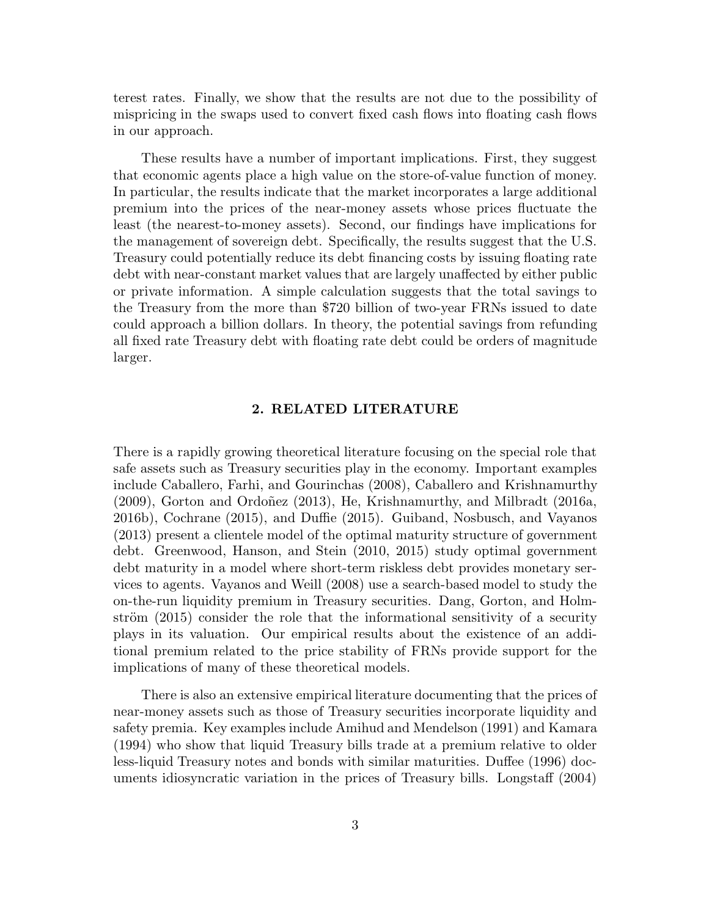terest rates. Finally, we show that the results are not due to the possibility of mispricing in the swaps used to convert fixed cash flows into floating cash flows in our approach.

These results have a number of important implications. First, they suggest that economic agents place a high value on the store-of-value function of money. In particular, the results indicate that the market incorporates a large additional premium into the prices of the near-money assets whose prices fluctuate the least (the nearest-to-money assets). Second, our findings have implications for the management of sovereign debt. Specifically, the results suggest that the U.S. Treasury could potentially reduce its debt financing costs by issuing floating rate debt with near-constant market values that are largely unaffected by either public or private information. A simple calculation suggests that the total savings to the Treasury from the more than \$720 billion of two-year FRNs issued to date could approach a billion dollars. In theory, the potential savings from refunding all fixed rate Treasury debt with floating rate debt could be orders of magnitude larger.

# 2. RELATED LITERATURE

There is a rapidly growing theoretical literature focusing on the special role that safe assets such as Treasury securities play in the economy. Important examples include Caballero, Farhi, and Gourinchas (2008), Caballero and Krishnamurthy  $(2009)$ , Gorton and Ordoñez  $(2013)$ , He, Krishnamurthy, and Milbradt  $(2016a,$ 2016b), Cochrane (2015), and Duffie (2015). Guiband, Nosbusch, and Vayanos (2013) present a clientele model of the optimal maturity structure of government debt. Greenwood, Hanson, and Stein (2010, 2015) study optimal government debt maturity in a model where short-term riskless debt provides monetary services to agents. Vayanos and Weill (2008) use a search-based model to study the on-the-run liquidity premium in Treasury securities. Dang, Gorton, and Holmström  $(2015)$  consider the role that the informational sensitivity of a security plays in its valuation. Our empirical results about the existence of an additional premium related to the price stability of FRNs provide support for the implications of many of these theoretical models.

There is also an extensive empirical literature documenting that the prices of near-money assets such as those of Treasury securities incorporate liquidity and safety premia. Key examples include Amihud and Mendelson (1991) and Kamara (1994) who show that liquid Treasury bills trade at a premium relative to older less-liquid Treasury notes and bonds with similar maturities. Duffee (1996) documents idiosyncratic variation in the prices of Treasury bills. Longstaff (2004)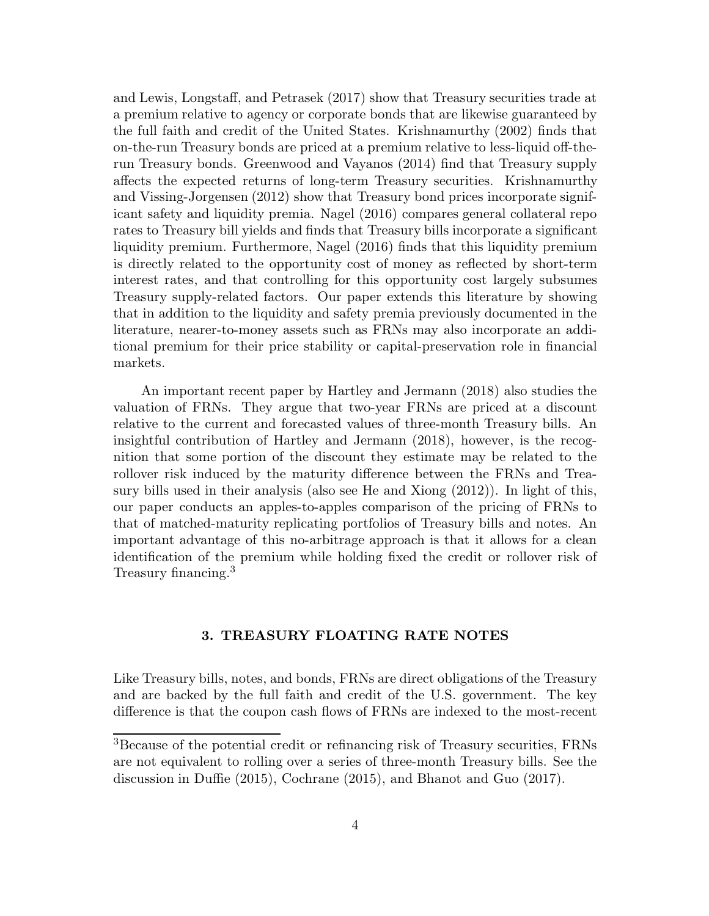and Lewis, Longstaff, and Petrasek (2017) show that Treasury securities trade at a premium relative to agency or corporate bonds that are likewise guaranteed by the full faith and credit of the United States. Krishnamurthy (2002) finds that on-the-run Treasury bonds are priced at a premium relative to less-liquid off-therun Treasury bonds. Greenwood and Vayanos (2014) find that Treasury supply affects the expected returns of long-term Treasury securities. Krishnamurthy and Vissing-Jorgensen (2012) show that Treasury bond prices incorporate significant safety and liquidity premia. Nagel (2016) compares general collateral repo rates to Treasury bill yields and finds that Treasury bills incorporate a significant liquidity premium. Furthermore, Nagel (2016) finds that this liquidity premium is directly related to the opportunity cost of money as reflected by short-term interest rates, and that controlling for this opportunity cost largely subsumes Treasury supply-related factors. Our paper extends this literature by showing that in addition to the liquidity and safety premia previously documented in the literature, nearer-to-money assets such as FRNs may also incorporate an additional premium for their price stability or capital-preservation role in financial markets.

An important recent paper by Hartley and Jermann (2018) also studies the valuation of FRNs. They argue that two-year FRNs are priced at a discount relative to the current and forecasted values of three-month Treasury bills. An insightful contribution of Hartley and Jermann (2018), however, is the recognition that some portion of the discount they estimate may be related to the rollover risk induced by the maturity difference between the FRNs and Treasury bills used in their analysis (also see He and Xiong (2012)). In light of this, our paper conducts an apples-to-apples comparison of the pricing of FRNs to that of matched-maturity replicating portfolios of Treasury bills and notes. An important advantage of this no-arbitrage approach is that it allows for a clean identification of the premium while holding fixed the credit or rollover risk of Treasury financing.<sup>3</sup>

# 3. TREASURY FLOATING RATE NOTES

Like Treasury bills, notes, and bonds, FRNs are direct obligations of the Treasury and are backed by the full faith and credit of the U.S. government. The key difference is that the coupon cash flows of FRNs are indexed to the most-recent

<sup>3</sup>Because of the potential credit or refinancing risk of Treasury securities, FRNs are not equivalent to rolling over a series of three-month Treasury bills. See the discussion in Duffie (2015), Cochrane (2015), and Bhanot and Guo (2017).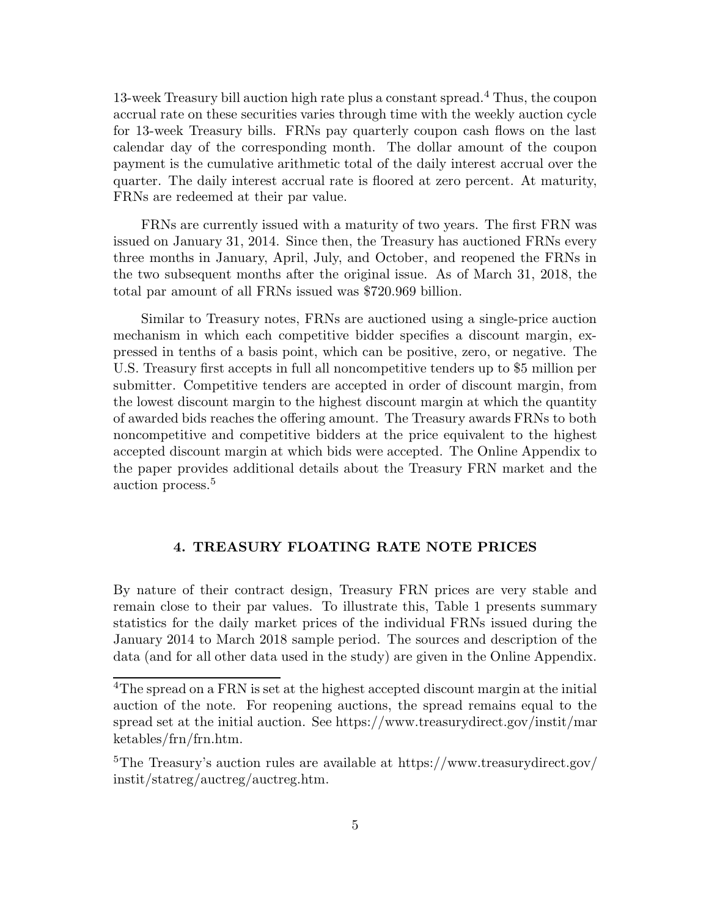13-week Treasury bill auction high rate plus a constant spread.<sup>4</sup> Thus, the coupon accrual rate on these securities varies through time with the weekly auction cycle for 13-week Treasury bills. FRNs pay quarterly coupon cash flows on the last calendar day of the corresponding month. The dollar amount of the coupon payment is the cumulative arithmetic total of the daily interest accrual over the quarter. The daily interest accrual rate is floored at zero percent. At maturity, FRNs are redeemed at their par value.

FRNs are currently issued with a maturity of two years. The first FRN was issued on January 31, 2014. Since then, the Treasury has auctioned FRNs every three months in January, April, July, and October, and reopened the FRNs in the two subsequent months after the original issue. As of March 31, 2018, the total par amount of all FRNs issued was \$720.969 billion.

Similar to Treasury notes, FRNs are auctioned using a single-price auction mechanism in which each competitive bidder specifies a discount margin, expressed in tenths of a basis point, which can be positive, zero, or negative. The U.S. Treasury first accepts in full all noncompetitive tenders up to \$5 million per submitter. Competitive tenders are accepted in order of discount margin, from the lowest discount margin to the highest discount margin at which the quantity of awarded bids reaches the offering amount. The Treasury awards FRNs to both noncompetitive and competitive bidders at the price equivalent to the highest accepted discount margin at which bids were accepted. The Online Appendix to the paper provides additional details about the Treasury FRN market and the auction process.<sup>5</sup>

# 4. TREASURY FLOATING RATE NOTE PRICES

By nature of their contract design, Treasury FRN prices are very stable and remain close to their par values. To illustrate this, Table 1 presents summary statistics for the daily market prices of the individual FRNs issued during the January 2014 to March 2018 sample period. The sources and description of the data (and for all other data used in the study) are given in the Online Appendix.

<sup>&</sup>lt;sup>4</sup>The spread on a FRN is set at the highest accepted discount margin at the initial auction of the note. For reopening auctions, the spread remains equal to the spread set at the initial auction. See https://www.treasurydirect.gov/instit/mar ketables/frn/frn.htm.

<sup>5</sup>The Treasury's auction rules are available at https://www.treasurydirect.gov/ instit/statreg/auctreg/auctreg.htm.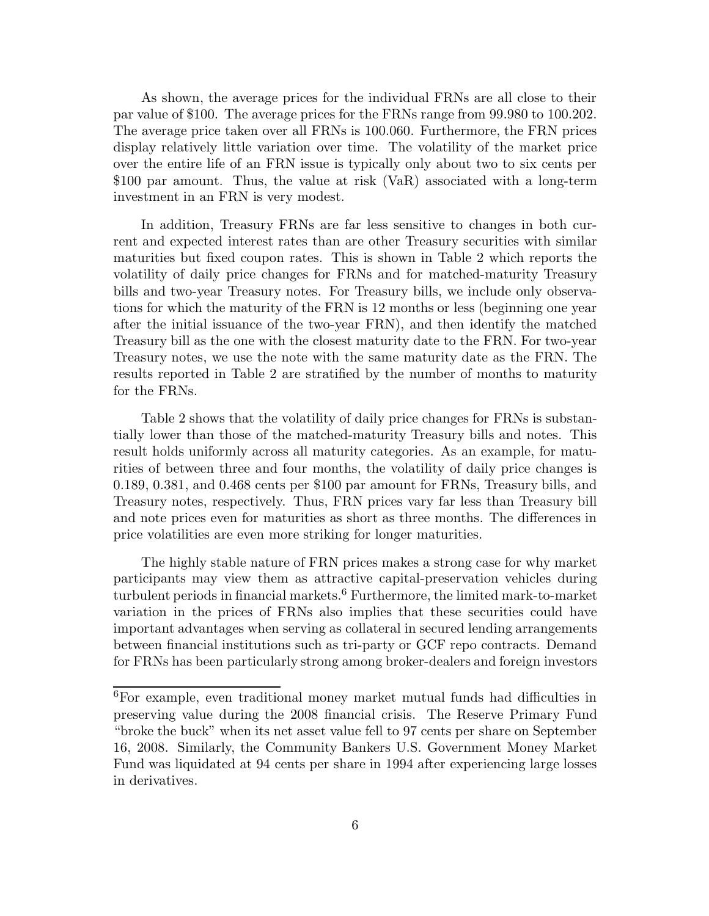As shown, the average prices for the individual FRNs are all close to their par value of \$100. The average prices for the FRNs range from 99.980 to 100.202. The average price taken over all FRNs is 100.060. Furthermore, the FRN prices display relatively little variation over time. The volatility of the market price over the entire life of an FRN issue is typically only about two to six cents per \$100 par amount. Thus, the value at risk (VaR) associated with a long-term investment in an FRN is very modest.

In addition, Treasury FRNs are far less sensitive to changes in both current and expected interest rates than are other Treasury securities with similar maturities but fixed coupon rates. This is shown in Table 2 which reports the volatility of daily price changes for FRNs and for matched-maturity Treasury bills and two-year Treasury notes. For Treasury bills, we include only observations for which the maturity of the FRN is 12 months or less (beginning one year after the initial issuance of the two-year FRN), and then identify the matched Treasury bill as the one with the closest maturity date to the FRN. For two-year Treasury notes, we use the note with the same maturity date as the FRN. The results reported in Table 2 are stratified by the number of months to maturity for the FRNs.

Table 2 shows that the volatility of daily price changes for FRNs is substantially lower than those of the matched-maturity Treasury bills and notes. This result holds uniformly across all maturity categories. As an example, for maturities of between three and four months, the volatility of daily price changes is 0.189, 0.381, and 0.468 cents per \$100 par amount for FRNs, Treasury bills, and Treasury notes, respectively. Thus, FRN prices vary far less than Treasury bill and note prices even for maturities as short as three months. The differences in price volatilities are even more striking for longer maturities.

The highly stable nature of FRN prices makes a strong case for why market participants may view them as attractive capital-preservation vehicles during turbulent periods in financial markets.<sup>6</sup> Furthermore, the limited mark-to-market variation in the prices of FRNs also implies that these securities could have important advantages when serving as collateral in secured lending arrangements between financial institutions such as tri-party or GCF repo contracts. Demand for FRNs has been particularly strong among broker-dealers and foreign investors

<sup>6</sup>For example, even traditional money market mutual funds had difficulties in preserving value during the 2008 financial crisis. The Reserve Primary Fund "broke the buck" when its net asset value fell to 97 cents per share on September 16, 2008. Similarly, the Community Bankers U.S. Government Money Market Fund was liquidated at 94 cents per share in 1994 after experiencing large losses in derivatives.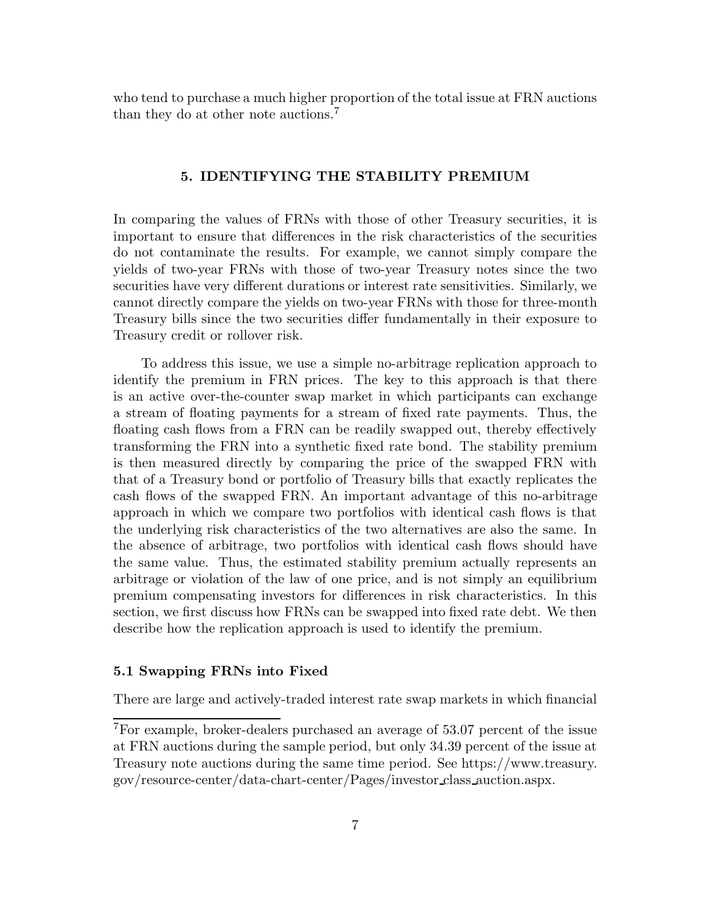who tend to purchase a much higher proportion of the total issue at FRN auctions than they do at other note auctions.<sup>7</sup>

## 5. IDENTIFYING THE STABILITY PREMIUM

In comparing the values of FRNs with those of other Treasury securities, it is important to ensure that differences in the risk characteristics of the securities do not contaminate the results. For example, we cannot simply compare the yields of two-year FRNs with those of two-year Treasury notes since the two securities have very different durations or interest rate sensitivities. Similarly, we cannot directly compare the yields on two-year FRNs with those for three-month Treasury bills since the two securities differ fundamentally in their exposure to Treasury credit or rollover risk.

To address this issue, we use a simple no-arbitrage replication approach to identify the premium in FRN prices. The key to this approach is that there is an active over-the-counter swap market in which participants can exchange a stream of floating payments for a stream of fixed rate payments. Thus, the floating cash flows from a FRN can be readily swapped out, thereby effectively transforming the FRN into a synthetic fixed rate bond. The stability premium is then measured directly by comparing the price of the swapped FRN with that of a Treasury bond or portfolio of Treasury bills that exactly replicates the cash flows of the swapped FRN. An important advantage of this no-arbitrage approach in which we compare two portfolios with identical cash flows is that the underlying risk characteristics of the two alternatives are also the same. In the absence of arbitrage, two portfolios with identical cash flows should have the same value. Thus, the estimated stability premium actually represents an arbitrage or violation of the law of one price, and is not simply an equilibrium premium compensating investors for differences in risk characteristics. In this section, we first discuss how FRNs can be swapped into fixed rate debt. We then describe how the replication approach is used to identify the premium.

# 5.1 Swapping FRNs into Fixed

There are large and actively-traded interest rate swap markets in which financial

<sup>7</sup>For example, broker-dealers purchased an average of 53.07 percent of the issue at FRN auctions during the sample period, but only 34.39 percent of the issue at Treasury note auctions during the same time period. See https://www.treasury. gov/resource-center/data-chart-center/Pages/investor class auction.aspx.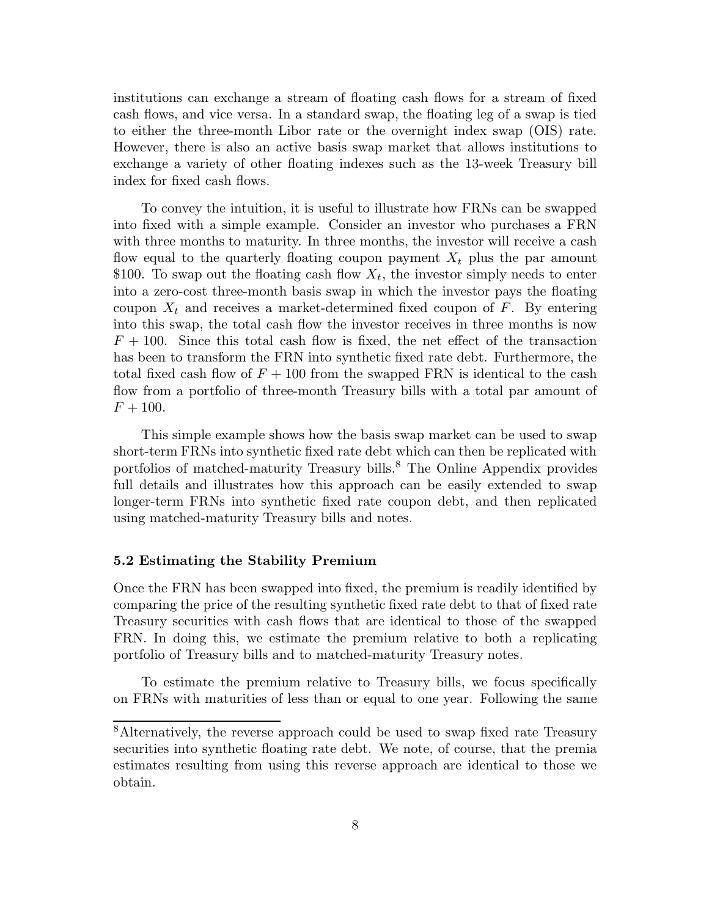institutions can exchange a stream of floating cash flows for a stream of fixed cash flows, and vice versa. In a standard swap, the floating leg of a swap is tied to either the three-month Libor rate or the overnight index swap (OIS) rate. However, there is also an active basis swap market that allows institutions to exchange a variety of other floating indexes such as the 13-week Treasury bill index for fixed cash flows.

To convey the intuition, it is useful to illustrate how FRNs can be swapped into fixed with a simple example. Consider an investor who purchases a FRN with three months to maturity. In three months, the investor will receive a cash flow equal to the quarterly floating coupon payment  $X_t$  plus the par amount \$100. To swap out the floating cash flow  $X_t$ , the investor simply needs to enter into a zero-cost three-month basis swap in which the investor pays the floating coupon  $X_t$  and receives a market-determined fixed coupon of F. By entering into this swap, the total cash flow the investor receives in three months is now  $F + 100$ . Since this total cash flow is fixed, the net effect of the transaction has been to transform the FRN into synthetic fixed rate debt. Furthermore, the total fixed cash flow of  $F + 100$  from the swapped FRN is identical to the cash flow from a portfolio of three-month Treasury bills with a total par amount of  $F + 100.$ 

This simple example shows how the basis swap market can be used to swap short-term FRNs into synthetic fixed rate debt which can then be replicated with portfolios of matched-maturity Treasury bills.<sup>8</sup> The Online Appendix provides full details and illustrates how this approach can be easily extended to swap longer-term FRNs into synthetic fixed rate coupon debt, and then replicated using matched-maturity Treasury bills and notes.

#### 5.2 Estimating the Stability Premium

Once the FRN has been swapped into fixed, the premium is readily identified by comparing the price of the resulting synthetic fixed rate debt to that of fixed rate Treasury securities with cash flows that are identical to those of the swapped FRN. In doing this, we estimate the premium relative to both a replicating portfolio of Treasury bills and to matched-maturity Treasury notes.

To estimate the premium relative to Treasury bills, we focus specifically on FRNs with maturities of less than or equal to one year. Following the same

<sup>8</sup>Alternatively, the reverse approach could be used to swap fixed rate Treasury securities into synthetic floating rate debt. We note, of course, that the premia estimates resulting from using this reverse approach are identical to those we obtain.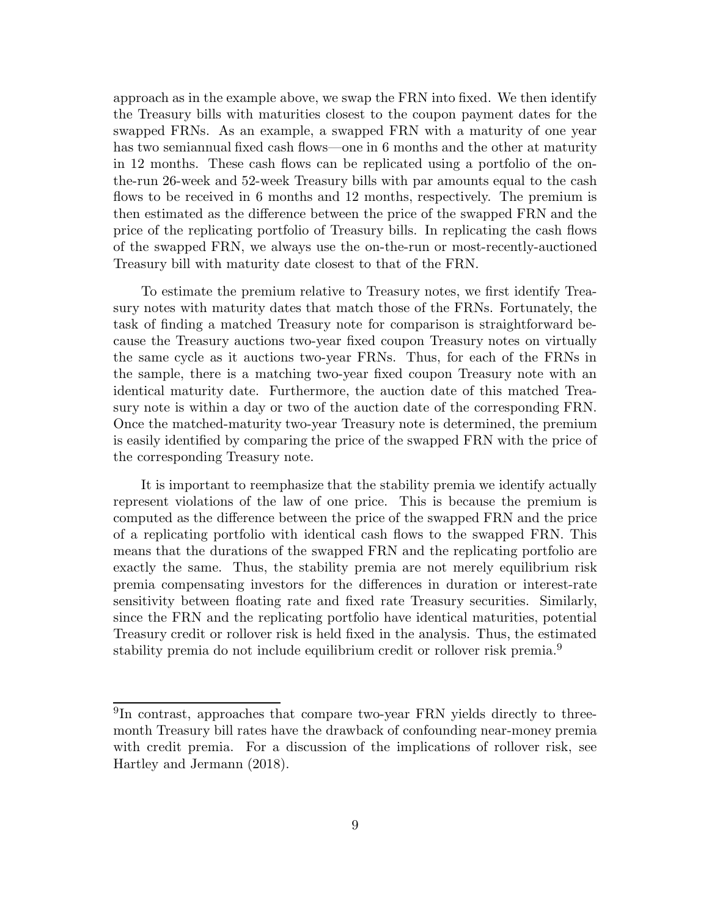approach as in the example above, we swap the FRN into fixed. We then identify the Treasury bills with maturities closest to the coupon payment dates for the swapped FRNs. As an example, a swapped FRN with a maturity of one year has two semiannual fixed cash flows—one in 6 months and the other at maturity in 12 months. These cash flows can be replicated using a portfolio of the onthe-run 26-week and 52-week Treasury bills with par amounts equal to the cash flows to be received in 6 months and 12 months, respectively. The premium is then estimated as the difference between the price of the swapped FRN and the price of the replicating portfolio of Treasury bills. In replicating the cash flows of the swapped FRN, we always use the on-the-run or most-recently-auctioned Treasury bill with maturity date closest to that of the FRN.

To estimate the premium relative to Treasury notes, we first identify Treasury notes with maturity dates that match those of the FRNs. Fortunately, the task of finding a matched Treasury note for comparison is straightforward because the Treasury auctions two-year fixed coupon Treasury notes on virtually the same cycle as it auctions two-year FRNs. Thus, for each of the FRNs in the sample, there is a matching two-year fixed coupon Treasury note with an identical maturity date. Furthermore, the auction date of this matched Treasury note is within a day or two of the auction date of the corresponding FRN. Once the matched-maturity two-year Treasury note is determined, the premium is easily identified by comparing the price of the swapped FRN with the price of the corresponding Treasury note.

It is important to reemphasize that the stability premia we identify actually represent violations of the law of one price. This is because the premium is computed as the difference between the price of the swapped FRN and the price of a replicating portfolio with identical cash flows to the swapped FRN. This means that the durations of the swapped FRN and the replicating portfolio are exactly the same. Thus, the stability premia are not merely equilibrium risk premia compensating investors for the differences in duration or interest-rate sensitivity between floating rate and fixed rate Treasury securities. Similarly, since the FRN and the replicating portfolio have identical maturities, potential Treasury credit or rollover risk is held fixed in the analysis. Thus, the estimated stability premia do not include equilibrium credit or rollover risk premia.<sup>9</sup>

<sup>&</sup>lt;sup>9</sup>In contrast, approaches that compare two-year FRN yields directly to threemonth Treasury bill rates have the drawback of confounding near-money premia with credit premia. For a discussion of the implications of rollover risk, see Hartley and Jermann (2018).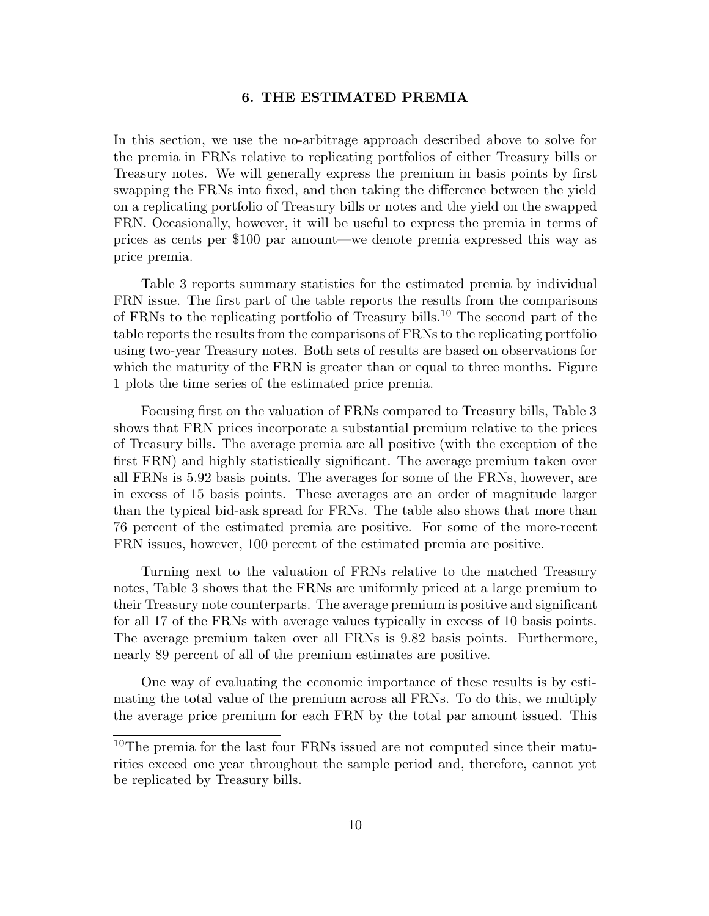# 6. THE ESTIMATED PREMIA

In this section, we use the no-arbitrage approach described above to solve for the premia in FRNs relative to replicating portfolios of either Treasury bills or Treasury notes. We will generally express the premium in basis points by first swapping the FRNs into fixed, and then taking the difference between the yield on a replicating portfolio of Treasury bills or notes and the yield on the swapped FRN. Occasionally, however, it will be useful to express the premia in terms of prices as cents per \$100 par amount—we denote premia expressed this way as price premia.

Table 3 reports summary statistics for the estimated premia by individual FRN issue. The first part of the table reports the results from the comparisons of FRNs to the replicating portfolio of Treasury bills.<sup>10</sup> The second part of the table reports the results from the comparisons of FRNs to the replicating portfolio using two-year Treasury notes. Both sets of results are based on observations for which the maturity of the FRN is greater than or equal to three months. Figure 1 plots the time series of the estimated price premia.

Focusing first on the valuation of FRNs compared to Treasury bills, Table 3 shows that FRN prices incorporate a substantial premium relative to the prices of Treasury bills. The average premia are all positive (with the exception of the first FRN) and highly statistically significant. The average premium taken over all FRNs is 5.92 basis points. The averages for some of the FRNs, however, are in excess of 15 basis points. These averages are an order of magnitude larger than the typical bid-ask spread for FRNs. The table also shows that more than 76 percent of the estimated premia are positive. For some of the more-recent FRN issues, however, 100 percent of the estimated premia are positive.

Turning next to the valuation of FRNs relative to the matched Treasury notes, Table 3 shows that the FRNs are uniformly priced at a large premium to their Treasury note counterparts. The average premium is positive and significant for all 17 of the FRNs with average values typically in excess of 10 basis points. The average premium taken over all FRNs is 9.82 basis points. Furthermore, nearly 89 percent of all of the premium estimates are positive.

One way of evaluating the economic importance of these results is by estimating the total value of the premium across all FRNs. To do this, we multiply the average price premium for each FRN by the total par amount issued. This

<sup>10</sup>The premia for the last four FRNs issued are not computed since their maturities exceed one year throughout the sample period and, therefore, cannot yet be replicated by Treasury bills.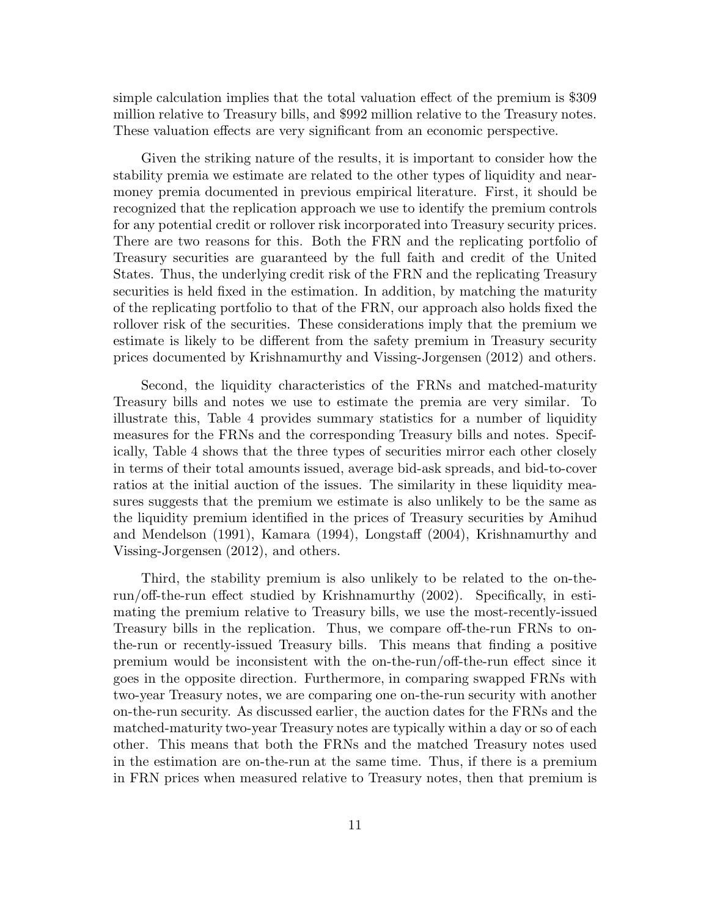simple calculation implies that the total valuation effect of the premium is \$309 million relative to Treasury bills, and \$992 million relative to the Treasury notes. These valuation effects are very significant from an economic perspective.

Given the striking nature of the results, it is important to consider how the stability premia we estimate are related to the other types of liquidity and nearmoney premia documented in previous empirical literature. First, it should be recognized that the replication approach we use to identify the premium controls for any potential credit or rollover risk incorporated into Treasury security prices. There are two reasons for this. Both the FRN and the replicating portfolio of Treasury securities are guaranteed by the full faith and credit of the United States. Thus, the underlying credit risk of the FRN and the replicating Treasury securities is held fixed in the estimation. In addition, by matching the maturity of the replicating portfolio to that of the FRN, our approach also holds fixed the rollover risk of the securities. These considerations imply that the premium we estimate is likely to be different from the safety premium in Treasury security prices documented by Krishnamurthy and Vissing-Jorgensen (2012) and others.

Second, the liquidity characteristics of the FRNs and matched-maturity Treasury bills and notes we use to estimate the premia are very similar. To illustrate this, Table 4 provides summary statistics for a number of liquidity measures for the FRNs and the corresponding Treasury bills and notes. Specifically, Table 4 shows that the three types of securities mirror each other closely in terms of their total amounts issued, average bid-ask spreads, and bid-to-cover ratios at the initial auction of the issues. The similarity in these liquidity measures suggests that the premium we estimate is also unlikely to be the same as the liquidity premium identified in the prices of Treasury securities by Amihud and Mendelson (1991), Kamara (1994), Longstaff (2004), Krishnamurthy and Vissing-Jorgensen (2012), and others.

Third, the stability premium is also unlikely to be related to the on-therun/off-the-run effect studied by Krishnamurthy (2002). Specifically, in estimating the premium relative to Treasury bills, we use the most-recently-issued Treasury bills in the replication. Thus, we compare off-the-run FRNs to onthe-run or recently-issued Treasury bills. This means that finding a positive premium would be inconsistent with the on-the-run/off-the-run effect since it goes in the opposite direction. Furthermore, in comparing swapped FRNs with two-year Treasury notes, we are comparing one on-the-run security with another on-the-run security. As discussed earlier, the auction dates for the FRNs and the matched-maturity two-year Treasury notes are typically within a day or so of each other. This means that both the FRNs and the matched Treasury notes used in the estimation are on-the-run at the same time. Thus, if there is a premium in FRN prices when measured relative to Treasury notes, then that premium is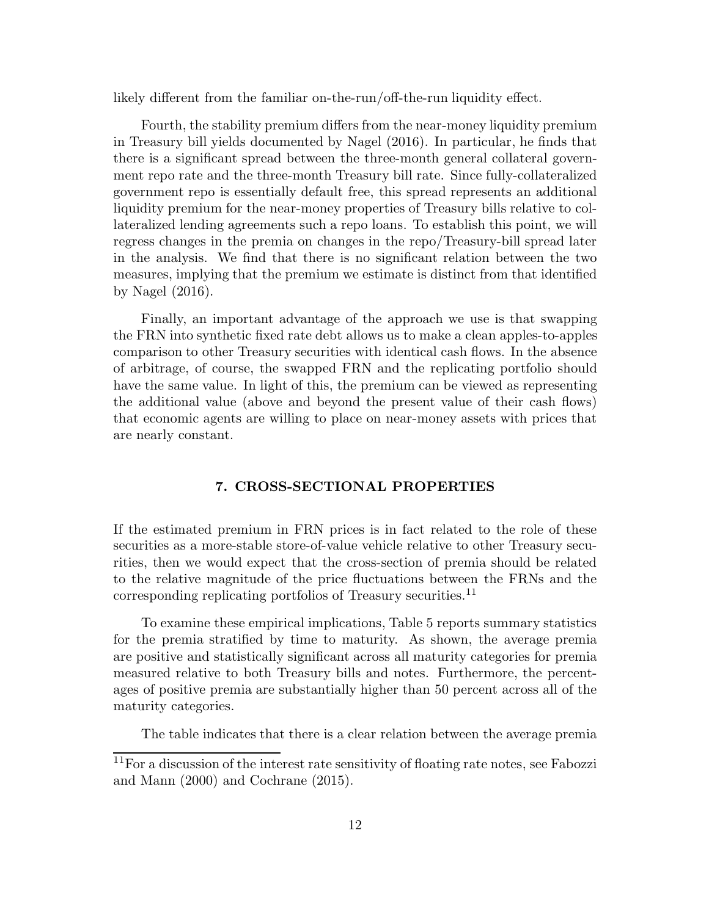likely different from the familiar on-the-run/off-the-run liquidity effect.

Fourth, the stability premium differs from the near-money liquidity premium in Treasury bill yields documented by Nagel (2016). In particular, he finds that there is a significant spread between the three-month general collateral government repo rate and the three-month Treasury bill rate. Since fully-collateralized government repo is essentially default free, this spread represents an additional liquidity premium for the near-money properties of Treasury bills relative to collateralized lending agreements such a repo loans. To establish this point, we will regress changes in the premia on changes in the repo/Treasury-bill spread later in the analysis. We find that there is no significant relation between the two measures, implying that the premium we estimate is distinct from that identified by Nagel (2016).

Finally, an important advantage of the approach we use is that swapping the FRN into synthetic fixed rate debt allows us to make a clean apples-to-apples comparison to other Treasury securities with identical cash flows. In the absence of arbitrage, of course, the swapped FRN and the replicating portfolio should have the same value. In light of this, the premium can be viewed as representing the additional value (above and beyond the present value of their cash flows) that economic agents are willing to place on near-money assets with prices that are nearly constant.

# 7. CROSS-SECTIONAL PROPERTIES

If the estimated premium in FRN prices is in fact related to the role of these securities as a more-stable store-of-value vehicle relative to other Treasury securities, then we would expect that the cross-section of premia should be related to the relative magnitude of the price fluctuations between the FRNs and the corresponding replicating portfolios of Treasury securities.<sup>11</sup>

To examine these empirical implications, Table 5 reports summary statistics for the premia stratified by time to maturity. As shown, the average premia are positive and statistically significant across all maturity categories for premia measured relative to both Treasury bills and notes. Furthermore, the percentages of positive premia are substantially higher than 50 percent across all of the maturity categories.

The table indicates that there is a clear relation between the average premia

 $11$  For a discussion of the interest rate sensitivity of floating rate notes, see Fabozzi and Mann (2000) and Cochrane (2015).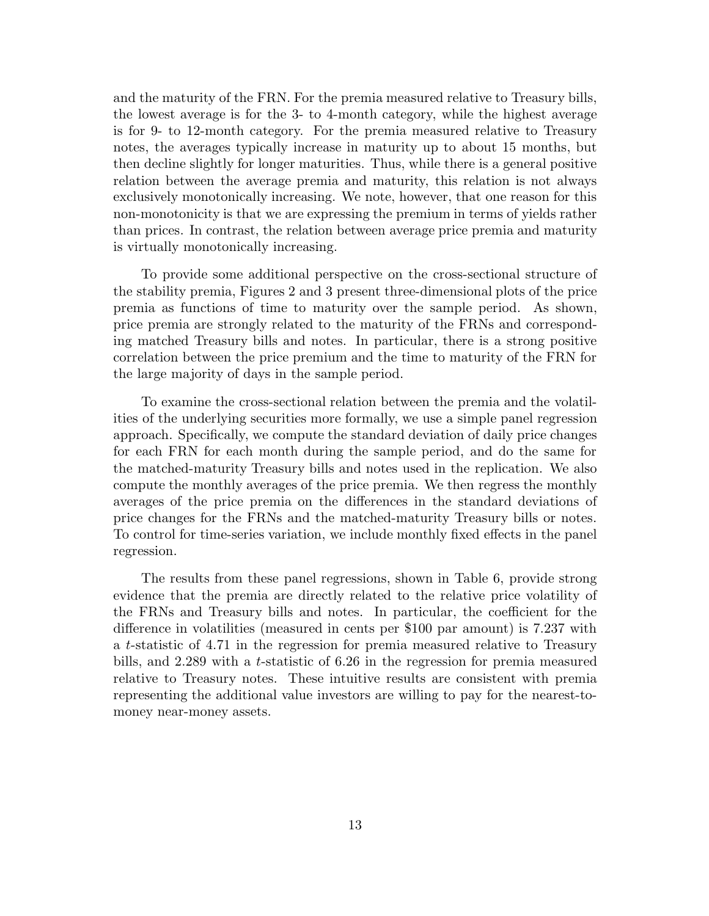and the maturity of the FRN. For the premia measured relative to Treasury bills, the lowest average is for the 3- to 4-month category, while the highest average is for 9- to 12-month category. For the premia measured relative to Treasury notes, the averages typically increase in maturity up to about 15 months, but then decline slightly for longer maturities. Thus, while there is a general positive relation between the average premia and maturity, this relation is not always exclusively monotonically increasing. We note, however, that one reason for this non-monotonicity is that we are expressing the premium in terms of yields rather than prices. In contrast, the relation between average price premia and maturity is virtually monotonically increasing.

To provide some additional perspective on the cross-sectional structure of the stability premia, Figures 2 and 3 present three-dimensional plots of the price premia as functions of time to maturity over the sample period. As shown, price premia are strongly related to the maturity of the FRNs and corresponding matched Treasury bills and notes. In particular, there is a strong positive correlation between the price premium and the time to maturity of the FRN for the large majority of days in the sample period.

To examine the cross-sectional relation between the premia and the volatilities of the underlying securities more formally, we use a simple panel regression approach. Specifically, we compute the standard deviation of daily price changes for each FRN for each month during the sample period, and do the same for the matched-maturity Treasury bills and notes used in the replication. We also compute the monthly averages of the price premia. We then regress the monthly averages of the price premia on the differences in the standard deviations of price changes for the FRNs and the matched-maturity Treasury bills or notes. To control for time-series variation, we include monthly fixed effects in the panel regression.

The results from these panel regressions, shown in Table 6, provide strong evidence that the premia are directly related to the relative price volatility of the FRNs and Treasury bills and notes. In particular, the coefficient for the difference in volatilities (measured in cents per \$100 par amount) is 7.237 with a t-statistic of 4.71 in the regression for premia measured relative to Treasury bills, and 2.289 with a t-statistic of 6.26 in the regression for premia measured relative to Treasury notes. These intuitive results are consistent with premia representing the additional value investors are willing to pay for the nearest-tomoney near-money assets.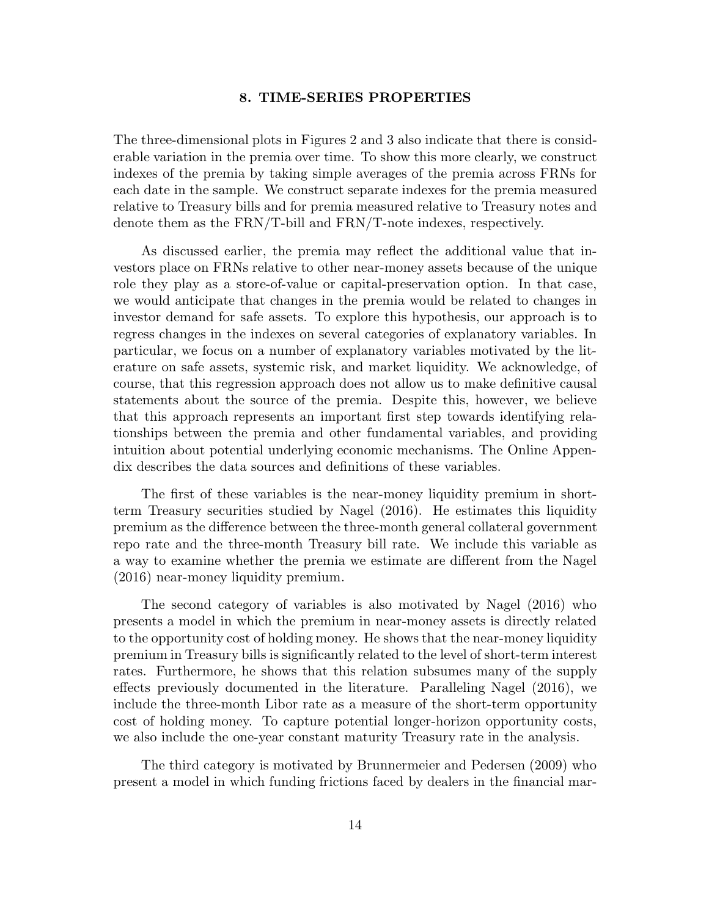# 8. TIME-SERIES PROPERTIES

The three-dimensional plots in Figures 2 and 3 also indicate that there is considerable variation in the premia over time. To show this more clearly, we construct indexes of the premia by taking simple averages of the premia across FRNs for each date in the sample. We construct separate indexes for the premia measured relative to Treasury bills and for premia measured relative to Treasury notes and denote them as the FRN/T-bill and FRN/T-note indexes, respectively.

As discussed earlier, the premia may reflect the additional value that investors place on FRNs relative to other near-money assets because of the unique role they play as a store-of-value or capital-preservation option. In that case, we would anticipate that changes in the premia would be related to changes in investor demand for safe assets. To explore this hypothesis, our approach is to regress changes in the indexes on several categories of explanatory variables. In particular, we focus on a number of explanatory variables motivated by the literature on safe assets, systemic risk, and market liquidity. We acknowledge, of course, that this regression approach does not allow us to make definitive causal statements about the source of the premia. Despite this, however, we believe that this approach represents an important first step towards identifying relationships between the premia and other fundamental variables, and providing intuition about potential underlying economic mechanisms. The Online Appendix describes the data sources and definitions of these variables.

The first of these variables is the near-money liquidity premium in shortterm Treasury securities studied by Nagel (2016). He estimates this liquidity premium as the difference between the three-month general collateral government repo rate and the three-month Treasury bill rate. We include this variable as a way to examine whether the premia we estimate are different from the Nagel (2016) near-money liquidity premium.

The second category of variables is also motivated by Nagel (2016) who presents a model in which the premium in near-money assets is directly related to the opportunity cost of holding money. He shows that the near-money liquidity premium in Treasury bills is significantly related to the level of short-term interest rates. Furthermore, he shows that this relation subsumes many of the supply effects previously documented in the literature. Paralleling Nagel (2016), we include the three-month Libor rate as a measure of the short-term opportunity cost of holding money. To capture potential longer-horizon opportunity costs, we also include the one-year constant maturity Treasury rate in the analysis.

The third category is motivated by Brunnermeier and Pedersen (2009) who present a model in which funding frictions faced by dealers in the financial mar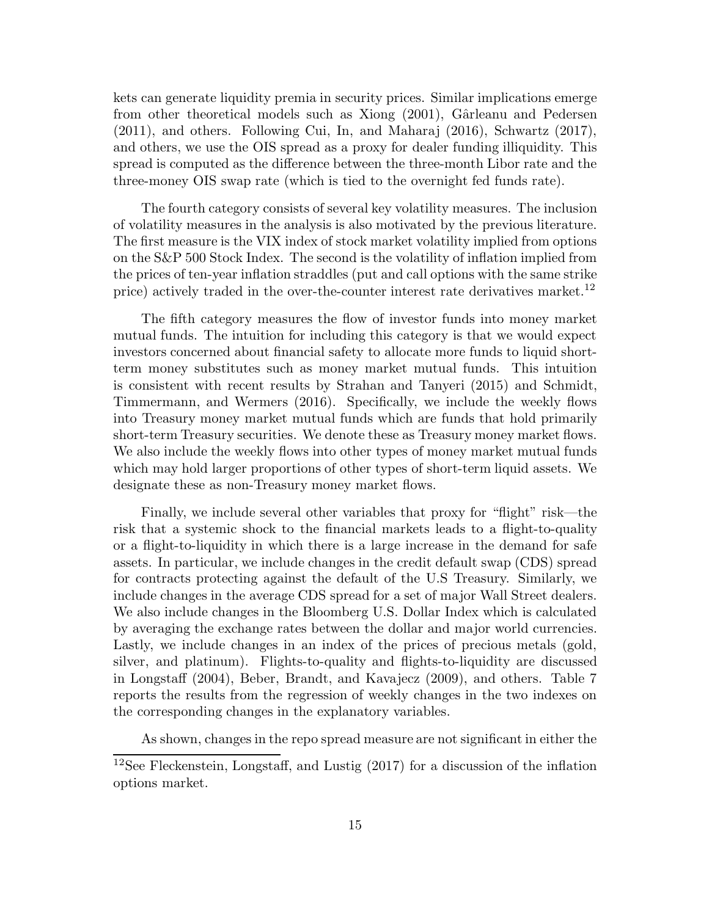kets can generate liquidity premia in security prices. Similar implications emerge from other theoretical models such as Xiong (2001), Gârleanu and Pedersen (2011), and others. Following Cui, In, and Maharaj (2016), Schwartz (2017), and others, we use the OIS spread as a proxy for dealer funding illiquidity. This spread is computed as the difference between the three-month Libor rate and the three-money OIS swap rate (which is tied to the overnight fed funds rate).

The fourth category consists of several key volatility measures. The inclusion of volatility measures in the analysis is also motivated by the previous literature. The first measure is the VIX index of stock market volatility implied from options on the S&P 500 Stock Index. The second is the volatility of inflation implied from the prices of ten-year inflation straddles (put and call options with the same strike price) actively traded in the over-the-counter interest rate derivatives market.<sup>12</sup>

The fifth category measures the flow of investor funds into money market mutual funds. The intuition for including this category is that we would expect investors concerned about financial safety to allocate more funds to liquid shortterm money substitutes such as money market mutual funds. This intuition is consistent with recent results by Strahan and Tanyeri (2015) and Schmidt, Timmermann, and Wermers (2016). Specifically, we include the weekly flows into Treasury money market mutual funds which are funds that hold primarily short-term Treasury securities. We denote these as Treasury money market flows. We also include the weekly flows into other types of money market mutual funds which may hold larger proportions of other types of short-term liquid assets. We designate these as non-Treasury money market flows.

Finally, we include several other variables that proxy for "flight" risk—the risk that a systemic shock to the financial markets leads to a flight-to-quality or a flight-to-liquidity in which there is a large increase in the demand for safe assets. In particular, we include changes in the credit default swap (CDS) spread for contracts protecting against the default of the U.S Treasury. Similarly, we include changes in the average CDS spread for a set of major Wall Street dealers. We also include changes in the Bloomberg U.S. Dollar Index which is calculated by averaging the exchange rates between the dollar and major world currencies. Lastly, we include changes in an index of the prices of precious metals (gold, silver, and platinum). Flights-to-quality and flights-to-liquidity are discussed in Longstaff (2004), Beber, Brandt, and Kavajecz (2009), and others. Table 7 reports the results from the regression of weekly changes in the two indexes on the corresponding changes in the explanatory variables.

As shown, changes in the repo spread measure are not significant in either the

<sup>12</sup>See Fleckenstein, Longstaff, and Lustig (2017) for a discussion of the inflation options market.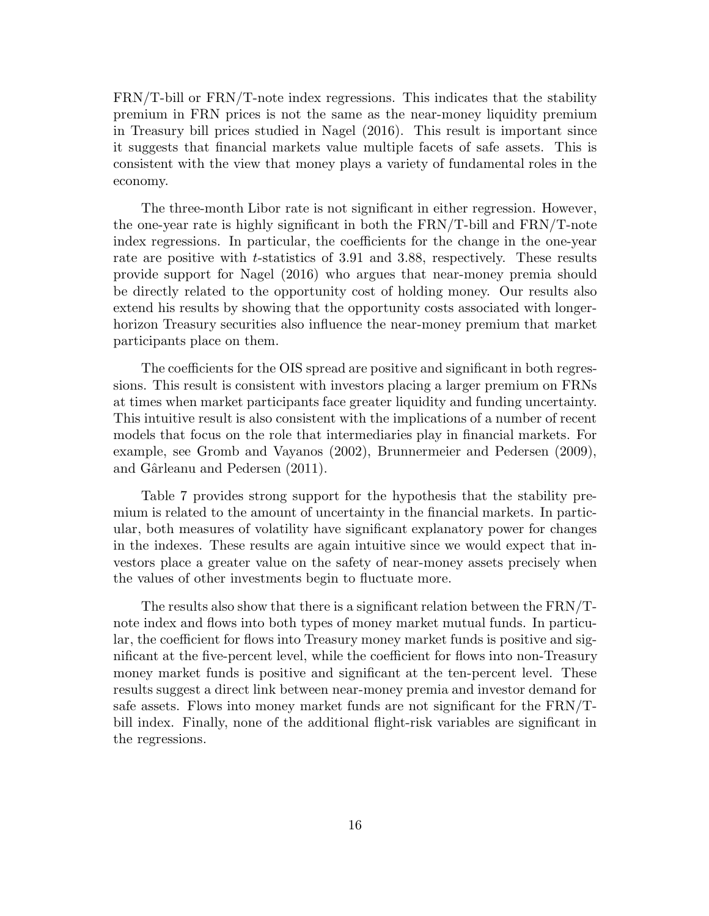FRN/T-bill or FRN/T-note index regressions. This indicates that the stability premium in FRN prices is not the same as the near-money liquidity premium in Treasury bill prices studied in Nagel (2016). This result is important since it suggests that financial markets value multiple facets of safe assets. This is consistent with the view that money plays a variety of fundamental roles in the economy.

The three-month Libor rate is not significant in either regression. However, the one-year rate is highly significant in both the FRN/T-bill and FRN/T-note index regressions. In particular, the coefficients for the change in the one-year rate are positive with *t*-statistics of 3.91 and 3.88, respectively. These results provide support for Nagel (2016) who argues that near-money premia should be directly related to the opportunity cost of holding money. Our results also extend his results by showing that the opportunity costs associated with longerhorizon Treasury securities also influence the near-money premium that market participants place on them.

The coefficients for the OIS spread are positive and significant in both regressions. This result is consistent with investors placing a larger premium on FRNs at times when market participants face greater liquidity and funding uncertainty. This intuitive result is also consistent with the implications of a number of recent models that focus on the role that intermediaries play in financial markets. For example, see Gromb and Vayanos (2002), Brunnermeier and Pedersen (2009), and Gârleanu and Pedersen (2011).

Table 7 provides strong support for the hypothesis that the stability premium is related to the amount of uncertainty in the financial markets. In particular, both measures of volatility have significant explanatory power for changes in the indexes. These results are again intuitive since we would expect that investors place a greater value on the safety of near-money assets precisely when the values of other investments begin to fluctuate more.

The results also show that there is a significant relation between the FRN/Tnote index and flows into both types of money market mutual funds. In particular, the coefficient for flows into Treasury money market funds is positive and significant at the five-percent level, while the coefficient for flows into non-Treasury money market funds is positive and significant at the ten-percent level. These results suggest a direct link between near-money premia and investor demand for safe assets. Flows into money market funds are not significant for the FRN/Tbill index. Finally, none of the additional flight-risk variables are significant in the regressions.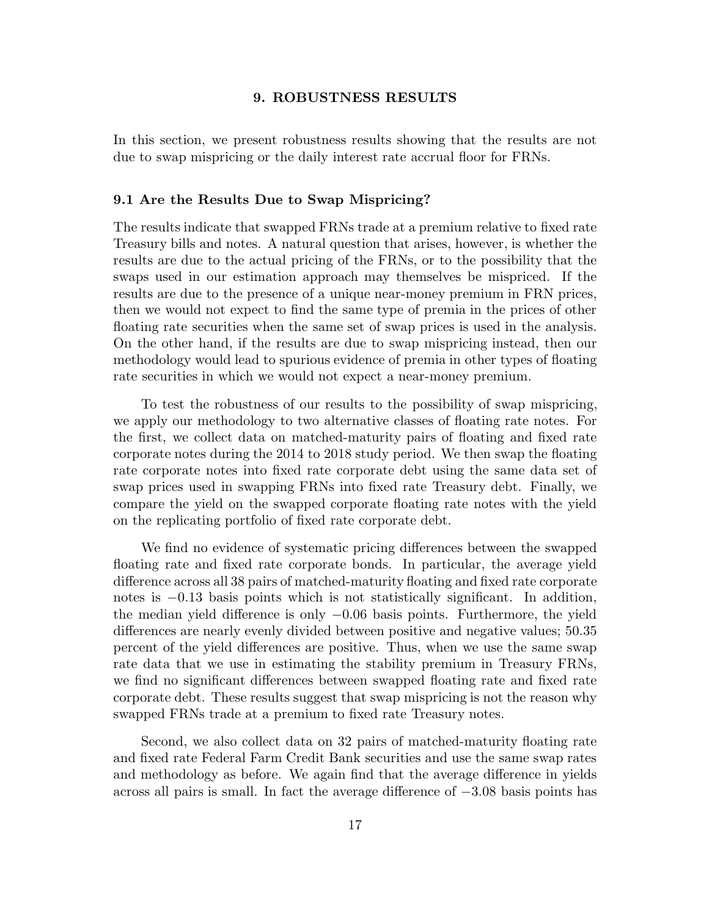# 9. ROBUSTNESS RESULTS

In this section, we present robustness results showing that the results are not due to swap mispricing or the daily interest rate accrual floor for FRNs.

## 9.1 Are the Results Due to Swap Mispricing?

The results indicate that swapped FRNs trade at a premium relative to fixed rate Treasury bills and notes. A natural question that arises, however, is whether the results are due to the actual pricing of the FRNs, or to the possibility that the swaps used in our estimation approach may themselves be mispriced. If the results are due to the presence of a unique near-money premium in FRN prices, then we would not expect to find the same type of premia in the prices of other floating rate securities when the same set of swap prices is used in the analysis. On the other hand, if the results are due to swap mispricing instead, then our methodology would lead to spurious evidence of premia in other types of floating rate securities in which we would not expect a near-money premium.

To test the robustness of our results to the possibility of swap mispricing, we apply our methodology to two alternative classes of floating rate notes. For the first, we collect data on matched-maturity pairs of floating and fixed rate corporate notes during the 2014 to 2018 study period. We then swap the floating rate corporate notes into fixed rate corporate debt using the same data set of swap prices used in swapping FRNs into fixed rate Treasury debt. Finally, we compare the yield on the swapped corporate floating rate notes with the yield on the replicating portfolio of fixed rate corporate debt.

We find no evidence of systematic pricing differences between the swapped floating rate and fixed rate corporate bonds. In particular, the average yield difference across all 38 pairs of matched-maturity floating and fixed rate corporate notes is  $-0.13$  basis points which is not statistically significant. In addition, the median yield difference is only −0.06 basis points. Furthermore, the yield differences are nearly evenly divided between positive and negative values; 50.35 percent of the yield differences are positive. Thus, when we use the same swap rate data that we use in estimating the stability premium in Treasury FRNs, we find no significant differences between swapped floating rate and fixed rate corporate debt. These results suggest that swap mispricing is not the reason why swapped FRNs trade at a premium to fixed rate Treasury notes.

Second, we also collect data on 32 pairs of matched-maturity floating rate and fixed rate Federal Farm Credit Bank securities and use the same swap rates and methodology as before. We again find that the average difference in yields across all pairs is small. In fact the average difference of −3.08 basis points has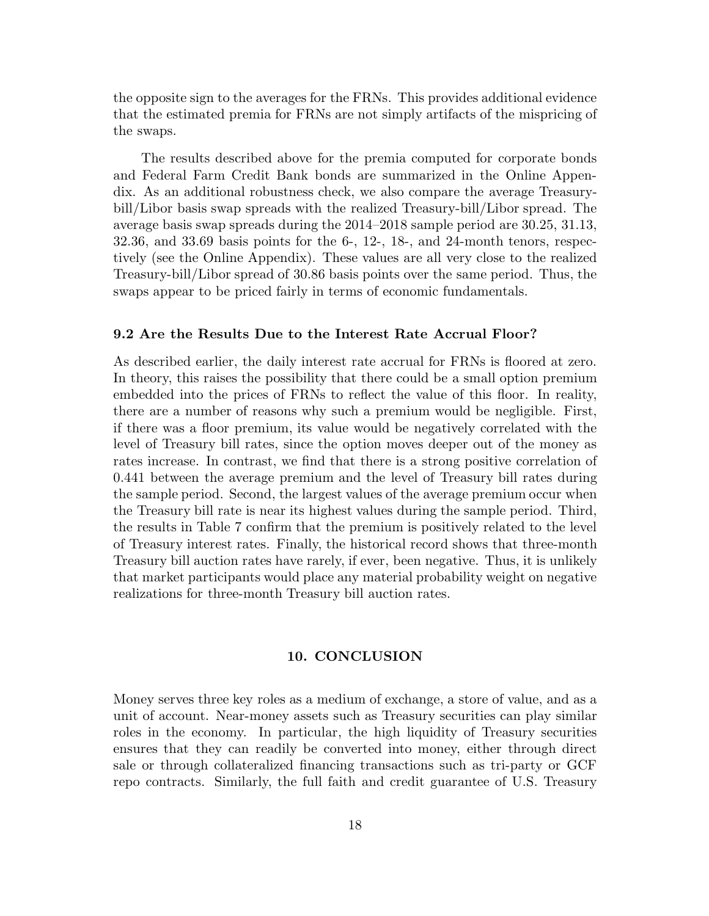the opposite sign to the averages for the FRNs. This provides additional evidence that the estimated premia for FRNs are not simply artifacts of the mispricing of the swaps.

The results described above for the premia computed for corporate bonds and Federal Farm Credit Bank bonds are summarized in the Online Appendix. As an additional robustness check, we also compare the average Treasurybill/Libor basis swap spreads with the realized Treasury-bill/Libor spread. The average basis swap spreads during the 2014–2018 sample period are 30.25, 31.13, 32.36, and 33.69 basis points for the 6-, 12-, 18-, and 24-month tenors, respectively (see the Online Appendix). These values are all very close to the realized Treasury-bill/Libor spread of 30.86 basis points over the same period. Thus, the swaps appear to be priced fairly in terms of economic fundamentals.

## 9.2 Are the Results Due to the Interest Rate Accrual Floor?

As described earlier, the daily interest rate accrual for FRNs is floored at zero. In theory, this raises the possibility that there could be a small option premium embedded into the prices of FRNs to reflect the value of this floor. In reality, there are a number of reasons why such a premium would be negligible. First, if there was a floor premium, its value would be negatively correlated with the level of Treasury bill rates, since the option moves deeper out of the money as rates increase. In contrast, we find that there is a strong positive correlation of 0.441 between the average premium and the level of Treasury bill rates during the sample period. Second, the largest values of the average premium occur when the Treasury bill rate is near its highest values during the sample period. Third, the results in Table 7 confirm that the premium is positively related to the level of Treasury interest rates. Finally, the historical record shows that three-month Treasury bill auction rates have rarely, if ever, been negative. Thus, it is unlikely that market participants would place any material probability weight on negative realizations for three-month Treasury bill auction rates.

## 10. CONCLUSION

Money serves three key roles as a medium of exchange, a store of value, and as a unit of account. Near-money assets such as Treasury securities can play similar roles in the economy. In particular, the high liquidity of Treasury securities ensures that they can readily be converted into money, either through direct sale or through collateralized financing transactions such as tri-party or GCF repo contracts. Similarly, the full faith and credit guarantee of U.S. Treasury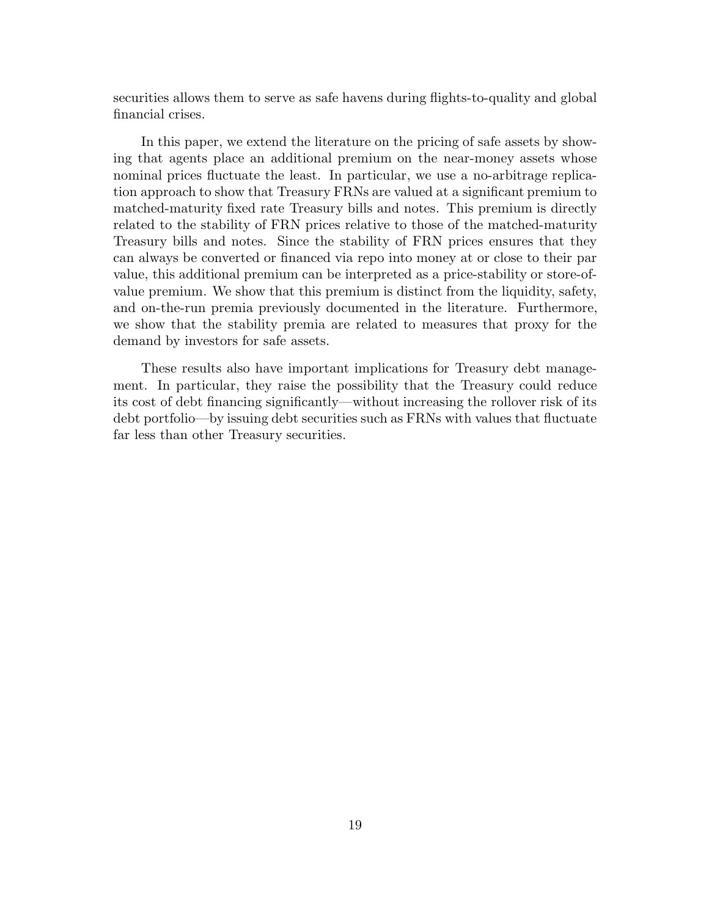securities allows them to serve as safe havens during flights-to-quality and global financial crises.

In this paper, we extend the literature on the pricing of safe assets by showing that agents place an additional premium on the near-money assets whose nominal prices fluctuate the least. In particular, we use a no-arbitrage replication approach to show that Treasury FRNs are valued at a significant premium to matched-maturity fixed rate Treasury bills and notes. This premium is directly related to the stability of FRN prices relative to those of the matched-maturity Treasury bills and notes. Since the stability of FRN prices ensures that they can always be converted or financed via repo into money at or close to their par value, this additional premium can be interpreted as a price-stability or store-ofvalue premium. We show that this premium is distinct from the liquidity, safety, and on-the-run premia previously documented in the literature. Furthermore, we show that the stability premia are related to measures that proxy for the demand by investors for safe assets.

These results also have important implications for Treasury debt management. In particular, they raise the possibility that the Treasury could reduce its cost of debt financing significantly—without increasing the rollover risk of its debt portfolio—by issuing debt securities such as FRNs with values that fluctuate far less than other Treasury securities.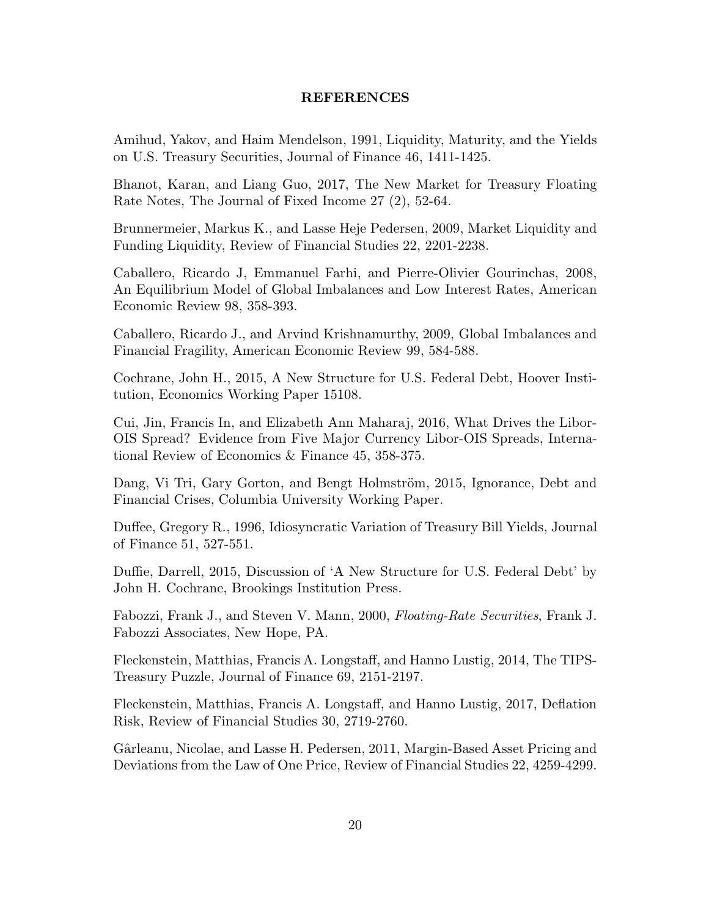# REFERENCES

Amihud, Yakov, and Haim Mendelson, 1991, Liquidity, Maturity, and the Yields on U.S. Treasury Securities, Journal of Finance 46, 1411-1425.

Bhanot, Karan, and Liang Guo, 2017, The New Market for Treasury Floating Rate Notes, The Journal of Fixed Income 27 (2), 52-64.

Brunnermeier, Markus K., and Lasse Heje Pedersen, 2009, Market Liquidity and Funding Liquidity, Review of Financial Studies 22, 2201-2238.

Caballero, Ricardo J, Emmanuel Farhi, and Pierre-Olivier Gourinchas, 2008, An Equilibrium Model of Global Imbalances and Low Interest Rates, American Economic Review 98, 358-393.

Caballero, Ricardo J., and Arvind Krishnamurthy, 2009, Global Imbalances and Financial Fragility, American Economic Review 99, 584-588.

Cochrane, John H., 2015, A New Structure for U.S. Federal Debt, Hoover Institution, Economics Working Paper 15108.

Cui, Jin, Francis In, and Elizabeth Ann Maharaj, 2016, What Drives the Libor-OIS Spread? Evidence from Five Major Currency Libor-OIS Spreads, International Review of Economics & Finance 45, 358-375.

Dang, Vi Tri, Gary Gorton, and Bengt Holmström, 2015, Ignorance, Debt and Financial Crises, Columbia University Working Paper.

Duffee, Gregory R., 1996, Idiosyncratic Variation of Treasury Bill Yields, Journal of Finance 51, 527-551.

Duffie, Darrell, 2015, Discussion of 'A New Structure for U.S. Federal Debt' by John H. Cochrane, Brookings Institution Press.

Fabozzi, Frank J., and Steven V. Mann, 2000, Floating-Rate Securities, Frank J. Fabozzi Associates, New Hope, PA.

Fleckenstein, Matthias, Francis A. Longstaff, and Hanno Lustig, 2014, The TIPS-Treasury Puzzle, Journal of Finance 69, 2151-2197.

Fleckenstein, Matthias, Francis A. Longstaff, and Hanno Lustig, 2017, Deflation Risk, Review of Financial Studies 30, 2719-2760.

Gârleanu, Nicolae, and Lasse H. Pedersen, 2011, Margin-Based Asset Pricing and Deviations from the Law of One Price, Review of Financial Studies 22, 4259-4299.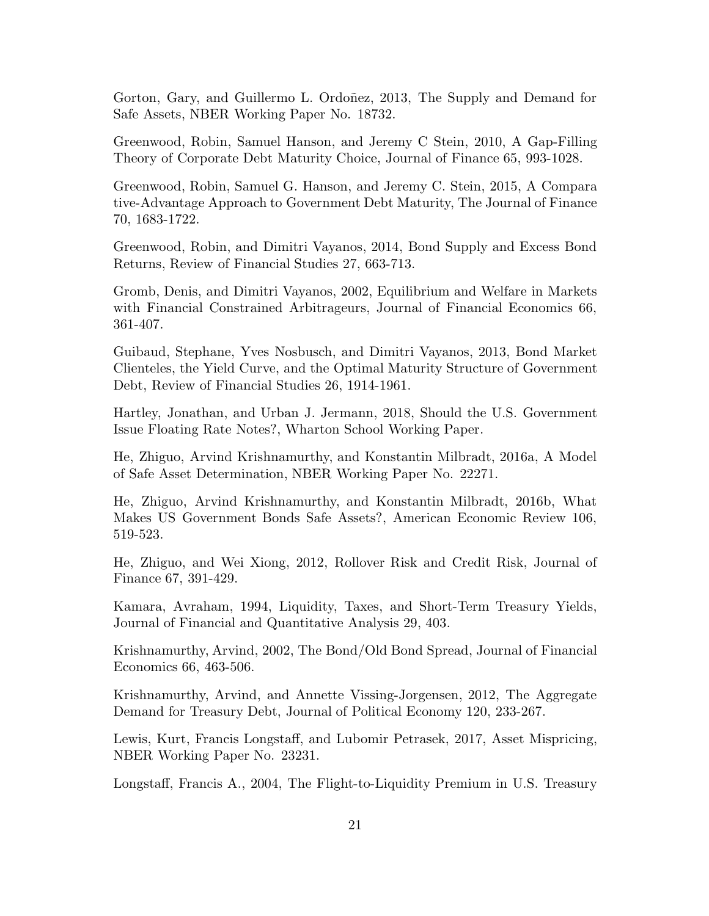Gorton, Gary, and Guillermo L. Ordoñez, 2013, The Supply and Demand for Safe Assets, NBER Working Paper No. 18732.

Greenwood, Robin, Samuel Hanson, and Jeremy C Stein, 2010, A Gap-Filling Theory of Corporate Debt Maturity Choice, Journal of Finance 65, 993-1028.

Greenwood, Robin, Samuel G. Hanson, and Jeremy C. Stein, 2015, A Compara tive-Advantage Approach to Government Debt Maturity, The Journal of Finance 70, 1683-1722.

Greenwood, Robin, and Dimitri Vayanos, 2014, Bond Supply and Excess Bond Returns, Review of Financial Studies 27, 663-713.

Gromb, Denis, and Dimitri Vayanos, 2002, Equilibrium and Welfare in Markets with Financial Constrained Arbitrageurs, Journal of Financial Economics 66, 361-407.

Guibaud, Stephane, Yves Nosbusch, and Dimitri Vayanos, 2013, Bond Market Clienteles, the Yield Curve, and the Optimal Maturity Structure of Government Debt, Review of Financial Studies 26, 1914-1961.

Hartley, Jonathan, and Urban J. Jermann, 2018, Should the U.S. Government Issue Floating Rate Notes?, Wharton School Working Paper.

He, Zhiguo, Arvind Krishnamurthy, and Konstantin Milbradt, 2016a, A Model of Safe Asset Determination, NBER Working Paper No. 22271.

He, Zhiguo, Arvind Krishnamurthy, and Konstantin Milbradt, 2016b, What Makes US Government Bonds Safe Assets?, American Economic Review 106, 519-523.

He, Zhiguo, and Wei Xiong, 2012, Rollover Risk and Credit Risk, Journal of Finance 67, 391-429.

Kamara, Avraham, 1994, Liquidity, Taxes, and Short-Term Treasury Yields, Journal of Financial and Quantitative Analysis 29, 403.

Krishnamurthy, Arvind, 2002, The Bond/Old Bond Spread, Journal of Financial Economics 66, 463-506.

Krishnamurthy, Arvind, and Annette Vissing-Jorgensen, 2012, The Aggregate Demand for Treasury Debt, Journal of Political Economy 120, 233-267.

Lewis, Kurt, Francis Longstaff, and Lubomir Petrasek, 2017, Asset Mispricing, NBER Working Paper No. 23231.

Longstaff, Francis A., 2004, The Flight-to-Liquidity Premium in U.S. Treasury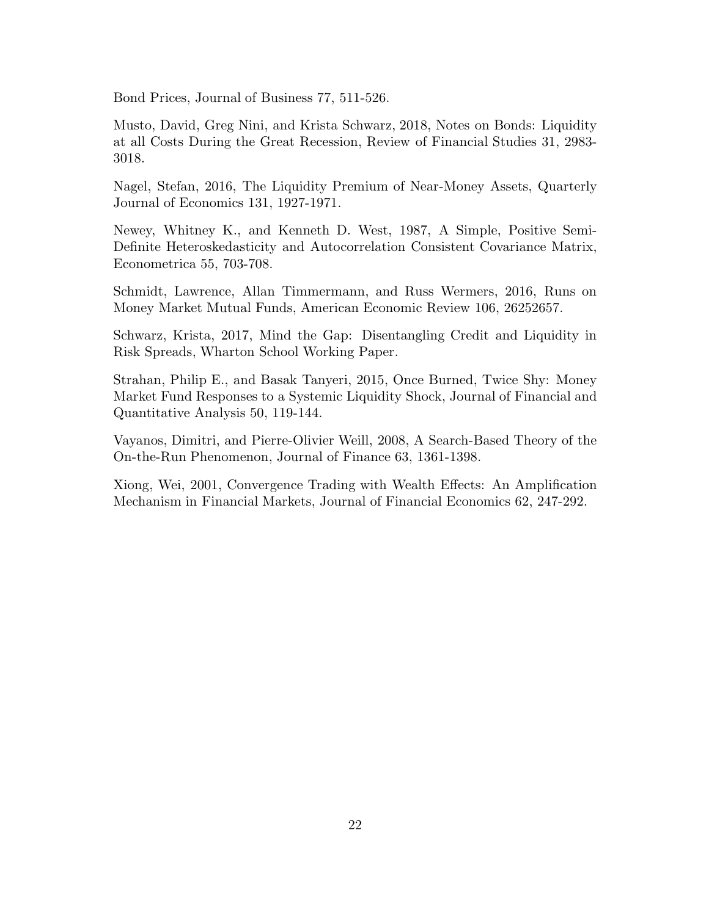Bond Prices, Journal of Business 77, 511-526.

Musto, David, Greg Nini, and Krista Schwarz, 2018, Notes on Bonds: Liquidity at all Costs During the Great Recession, Review of Financial Studies 31, 2983- 3018.

Nagel, Stefan, 2016, The Liquidity Premium of Near-Money Assets, Quarterly Journal of Economics 131, 1927-1971.

Newey, Whitney K., and Kenneth D. West, 1987, A Simple, Positive Semi-Definite Heteroskedasticity and Autocorrelation Consistent Covariance Matrix, Econometrica 55, 703-708.

Schmidt, Lawrence, Allan Timmermann, and Russ Wermers, 2016, Runs on Money Market Mutual Funds, American Economic Review 106, 26252657.

Schwarz, Krista, 2017, Mind the Gap: Disentangling Credit and Liquidity in Risk Spreads, Wharton School Working Paper.

Strahan, Philip E., and Basak Tanyeri, 2015, Once Burned, Twice Shy: Money Market Fund Responses to a Systemic Liquidity Shock, Journal of Financial and Quantitative Analysis 50, 119-144.

Vayanos, Dimitri, and Pierre-Olivier Weill, 2008, A Search-Based Theory of the On-the-Run Phenomenon, Journal of Finance 63, 1361-1398.

Xiong, Wei, 2001, Convergence Trading with Wealth Effects: An Amplification Mechanism in Financial Markets, Journal of Financial Economics 62, 247-292.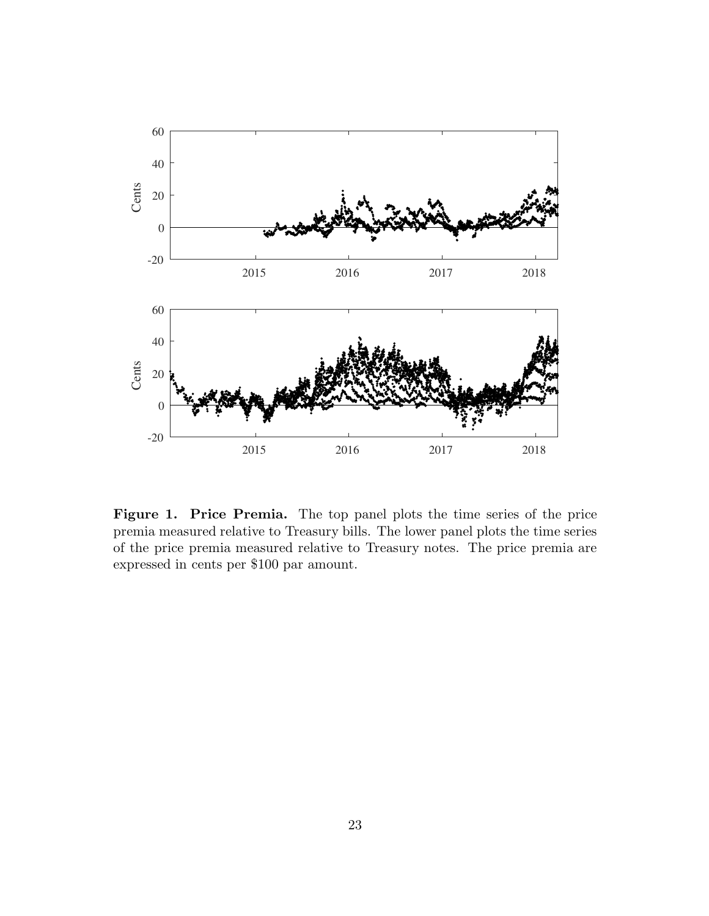

Figure 1. Price Premia. The top panel plots the time series of the price premia measured relative to Treasury bills. The lower panel plots the time series of the price premia measured relative to Treasury notes. The price premia are expressed in cents per \$100 par amount.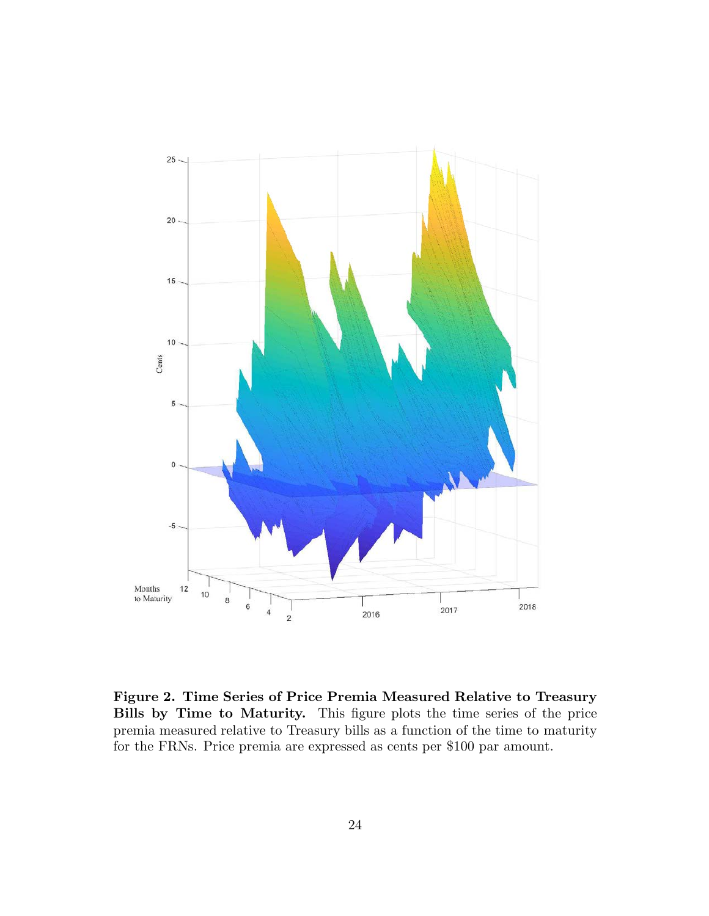

Figure 2. Time Series of Price Premia Measured Relative to Treasury Bills by Time to Maturity. This figure plots the time series of the price premia measured relative to Treasury bills as a function of the time to maturity for the FRNs. Price premia are expressed as cents per \$100 par amount.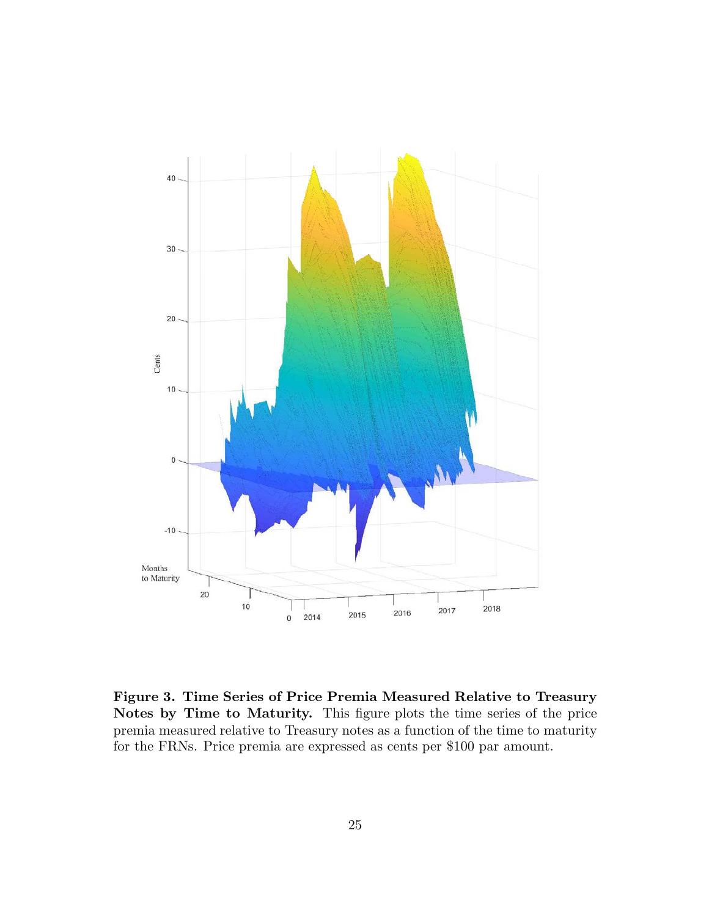

Figure 3. Time Series of Price Premia Measured Relative to Treasury Notes by Time to Maturity. This figure plots the time series of the price premia measured relative to Treasury notes as a function of the time to maturity for the FRNs. Price premia are expressed as cents per \$100 par amount.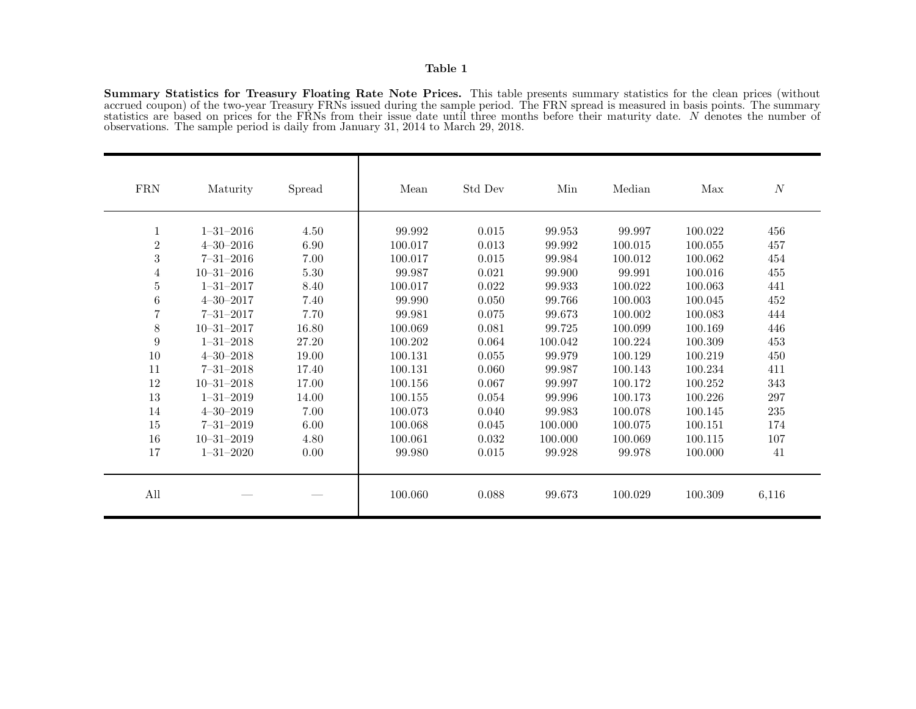## Table 1

Summary Statistics for Treasury Floating Rate Note Prices. This table presents summary statistics for the clean prices (without accrued coupon) of the two-year Treasury FRNs issued during the sample period. The FRN spread is measured in basis points. The summary statistics are based on prices for the FRNs from their issue date until three months before their maturity date. N denotes the number of observations. The sample period is daily from January 31, 2014 to March 29, 2018.

| ${\rm FRN}$    | Maturity         | Spread | Mean    | Std Dev | Min     | Median  | Max     | $\boldsymbol{N}$ |
|----------------|------------------|--------|---------|---------|---------|---------|---------|------------------|
| 1              | $1 - 31 - 2016$  | 4.50   | 99.992  | 0.015   | 99.953  | 99.997  | 100.022 | 456              |
| $\overline{2}$ | $4 - 30 - 2016$  | 6.90   | 100.017 | 0.013   | 99.992  | 100.015 | 100.055 | 457              |
| 3              | $7 - 31 - 2016$  | 7.00   | 100.017 | 0.015   | 99.984  | 100.012 | 100.062 | 454              |
| 4              | $10 - 31 - 2016$ | 5.30   | 99.987  | 0.021   | 99.900  | 99.991  | 100.016 | 455              |
| 5              | $1 - 31 - 2017$  | 8.40   | 100.017 | 0.022   | 99.933  | 100.022 | 100.063 | 441              |
| 6              | $4 - 30 - 2017$  | 7.40   | 99.990  | 0.050   | 99.766  | 100.003 | 100.045 | 452              |
|                | $7 - 31 - 2017$  | 7.70   | 99.981  | 0.075   | 99.673  | 100.002 | 100.083 | 444              |
| $8\,$          | $10 - 31 - 2017$ | 16.80  | 100.069 | 0.081   | 99.725  | 100.099 | 100.169 | 446              |
| 9              | $1 - 31 - 2018$  | 27.20  | 100.202 | 0.064   | 100.042 | 100.224 | 100.309 | 453              |
| 10             | $4 - 30 - 2018$  | 19.00  | 100.131 | 0.055   | 99.979  | 100.129 | 100.219 | 450              |
| 11             | $7 - 31 - 2018$  | 17.40  | 100.131 | 0.060   | 99.987  | 100.143 | 100.234 | 411              |
| 12             | $10 - 31 - 2018$ | 17.00  | 100.156 | 0.067   | 99.997  | 100.172 | 100.252 | 343              |
| 13             | $1 - 31 - 2019$  | 14.00  | 100.155 | 0.054   | 99.996  | 100.173 | 100.226 | 297              |
| 14             | $4 - 30 - 2019$  | 7.00   | 100.073 | 0.040   | 99.983  | 100.078 | 100.145 | 235              |
| 15             | $7 - 31 - 2019$  | 6.00   | 100.068 | 0.045   | 100.000 | 100.075 | 100.151 | 174              |
| 16             | $10 - 31 - 2019$ | 4.80   | 100.061 | 0.032   | 100.000 | 100.069 | 100.115 | 107              |
| 17             | $1 - 31 - 2020$  | 0.00   | 99.980  | 0.015   | 99.928  | 99.978  | 100.000 | 41               |
| All            |                  |        | 100.060 | 0.088   | 99.673  | 100.029 | 100.309 | 6,116            |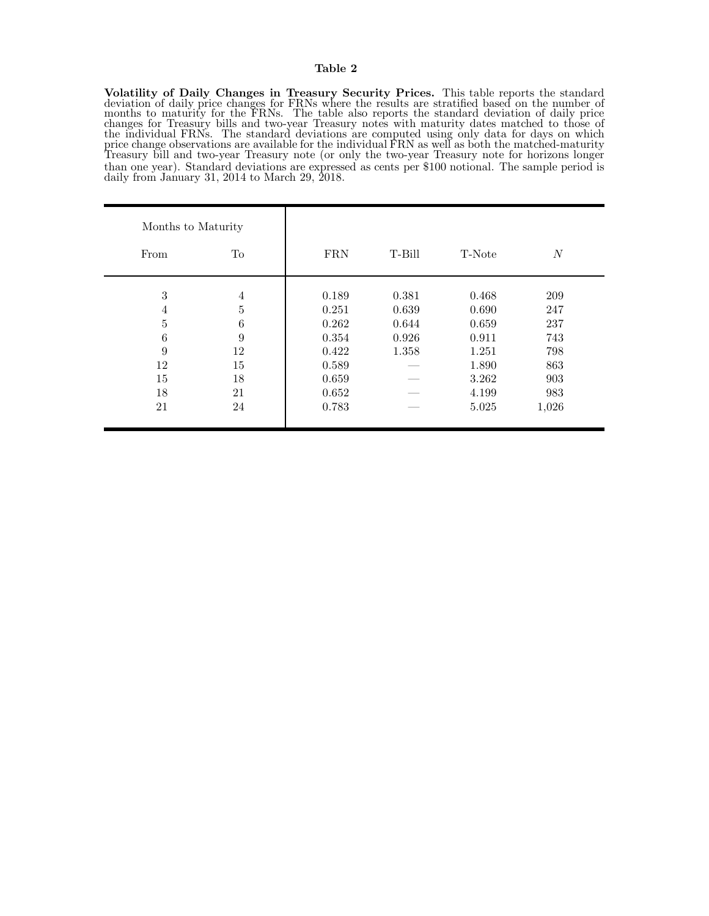#### Table 2

Volatility of Daily Changes in Treasury Security Prices. This table reports the standard deviation of daily price changes for FRNs where the results are stratified based on the number of months to maturity for the FRNs. The table also reports the standard deviation of daily price changes for Treasury bills and two-year Treasury notes with maturity dates matched to those of the individual FRNs. The standard deviations are computed using only data for days on which price change observations are available for the individual FRN as well as both the matched-maturity Treasury bill and two-year Treasury note (or only the two-year Treasury note for horizons longer than one year). Standard deviations are expressed as cents per \$100 notional. The sample period is daily from January 31, 2014 to March 29, 2018.

| Months to Maturity |                |            |        |        |                  |
|--------------------|----------------|------------|--------|--------|------------------|
| From               | To             | <b>FRN</b> | T-Bill | T-Note | $\boldsymbol{N}$ |
| 3                  | $\overline{4}$ | 0.189      | 0.381  | 0.468  | 209              |
| $\overline{4}$     | $\overline{5}$ | 0.251      | 0.639  | 0.690  | 247              |
| 5                  | $\,6$          | 0.262      | 0.644  | 0.659  | 237              |
| 6                  | 9              | 0.354      | 0.926  | 0.911  | 743              |
| 9                  | 12             | 0.422      | 1.358  | 1.251  | 798              |
| 12                 | 15             | 0.589      |        | 1.890  | 863              |
| 15                 | 18             | 0.659      |        | 3.262  | 903              |
| 18                 | 21             | 0.652      |        | 4.199  | 983              |
| 21                 | 24             | 0.783      |        | 5.025  | 1,026            |
|                    |                |            |        |        |                  |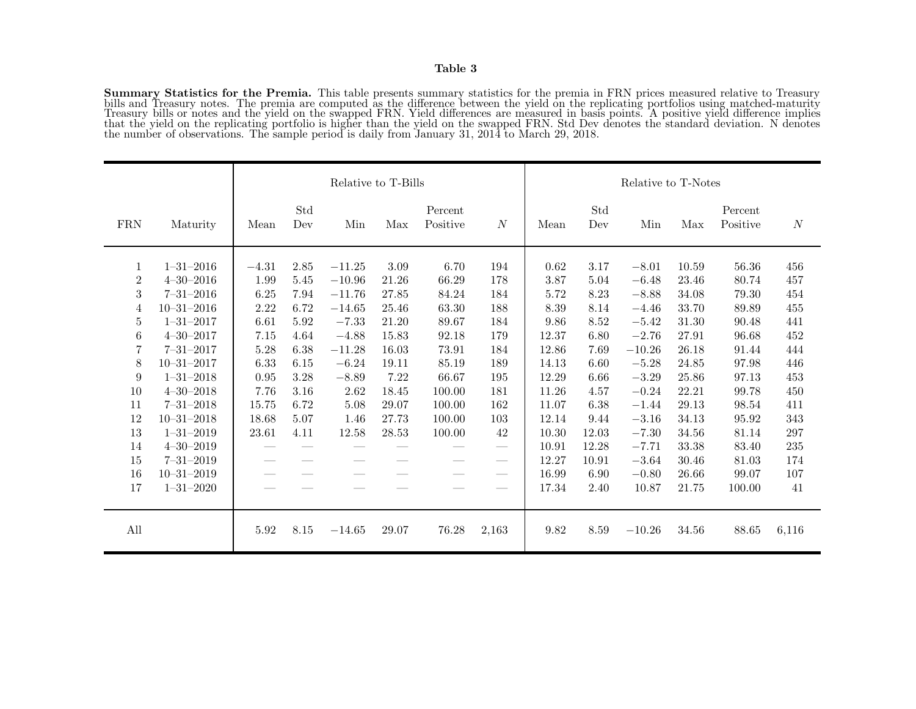Summary Statistics for the Premia. This table presents summary statistics for the premia in FRN prices measured relative to Treasury bills and Treasury notes. The premia are computed as the difference between the yield on the replicating portfolios using matched-maturity Treasury bills or notes and the yield on the swapped FRN. Yield differences are measured in basis points. A positive yield difference implies that the yield on the replicating portfolio is higher than the yield on the swapped FRN. Std Dev denotes the standard deviation. N denotes the number of observations. The sample period is daily from January 31, 2014 to March 29, 2018.

|                                                                                                         |                                                                                                                                                                                                                                                                                              |                                                                                                            | Relative to T-Bills                                                                                  |                                                                                                                                       |                                                                                                                 |                                                                                                                      | Relative to T-Notes                                                                                                                                          |                                                                                                                                |                                                                                                                         |                                                                                                                                                                    |                                                                                                                                     |                                                                                                                                     |                                                                                                       |
|---------------------------------------------------------------------------------------------------------|----------------------------------------------------------------------------------------------------------------------------------------------------------------------------------------------------------------------------------------------------------------------------------------------|------------------------------------------------------------------------------------------------------------|------------------------------------------------------------------------------------------------------|---------------------------------------------------------------------------------------------------------------------------------------|-----------------------------------------------------------------------------------------------------------------|----------------------------------------------------------------------------------------------------------------------|--------------------------------------------------------------------------------------------------------------------------------------------------------------|--------------------------------------------------------------------------------------------------------------------------------|-------------------------------------------------------------------------------------------------------------------------|--------------------------------------------------------------------------------------------------------------------------------------------------------------------|-------------------------------------------------------------------------------------------------------------------------------------|-------------------------------------------------------------------------------------------------------------------------------------|-------------------------------------------------------------------------------------------------------|
| <b>FRN</b>                                                                                              | Maturity                                                                                                                                                                                                                                                                                     | Mean                                                                                                       | Std<br>Dev                                                                                           | Min                                                                                                                                   | Max                                                                                                             | Percent<br>Positive                                                                                                  | N                                                                                                                                                            | Mean                                                                                                                           | Std<br>Dev                                                                                                              | Min                                                                                                                                                                | Max                                                                                                                                 | Percent<br>Positive                                                                                                                 | $\boldsymbol{N}$                                                                                      |
| 1<br>$\overline{2}$<br>3<br>$\overline{4}$<br>5<br>6<br>7<br>8<br>9<br>10<br>11<br>12<br>13<br>14<br>15 | $1 - 31 - 2016$<br>$4 - 30 - 2016$<br>$7 - 31 - 2016$<br>$10 - 31 - 2016$<br>$1 - 31 - 2017$<br>$4 - 30 - 2017$<br>$7 - 31 - 2017$<br>$10 - 31 - 2017$<br>$1 - 31 - 2018$<br>$4 - 30 - 2018$<br>$7 - 31 - 2018$<br>$10 - 31 - 2018$<br>$1 - 31 - 2019$<br>$4 - 30 - 2019$<br>$7 - 31 - 2019$ | $-4.31$<br>1.99<br>6.25<br>2.22<br>6.61<br>7.15<br>5.28<br>6.33<br>0.95<br>7.76<br>15.75<br>18.68<br>23.61 | 2.85<br>5.45<br>7.94<br>6.72<br>5.92<br>4.64<br>6.38<br>6.15<br>3.28<br>3.16<br>6.72<br>5.07<br>4.11 | $-11.25$<br>$-10.96$<br>$-11.76$<br>$-14.65$<br>$-7.33$<br>$-4.88$<br>$-11.28$<br>$-6.24$<br>$-8.89$<br>2.62<br>5.08<br>1.46<br>12.58 | 3.09<br>21.26<br>27.85<br>25.46<br>21.20<br>15.83<br>16.03<br>19.11<br>7.22<br>18.45<br>29.07<br>27.73<br>28.53 | 6.70<br>66.29<br>84.24<br>63.30<br>89.67<br>92.18<br>73.91<br>85.19<br>66.67<br>100.00<br>100.00<br>100.00<br>100.00 | 194<br>178<br>184<br>188<br>184<br>179<br>184<br>189<br>195<br>181<br>162<br>103<br>42<br>$\hspace{0.1mm}-\hspace{0.1mm}$<br>$\hspace{0.1mm}-\hspace{0.1mm}$ | 0.62<br>3.87<br>5.72<br>8.39<br>9.86<br>12.37<br>12.86<br>14.13<br>12.29<br>11.26<br>11.07<br>12.14<br>10.30<br>10.91<br>12.27 | 3.17<br>5.04<br>8.23<br>8.14<br>8.52<br>6.80<br>7.69<br>6.60<br>6.66<br>4.57<br>6.38<br>9.44<br>12.03<br>12.28<br>10.91 | $-8.01$<br>$-6.48$<br>$-8.88$<br>$-4.46$<br>$-5.42$<br>$-2.76$<br>$-10.26$<br>$-5.28$<br>$-3.29$<br>$-0.24$<br>$-1.44$<br>$-3.16$<br>$-7.30$<br>$-7.71$<br>$-3.64$ | 10.59<br>23.46<br>34.08<br>33.70<br>31.30<br>27.91<br>26.18<br>24.85<br>25.86<br>22.21<br>29.13<br>34.13<br>34.56<br>33.38<br>30.46 | 56.36<br>80.74<br>79.30<br>89.89<br>90.48<br>96.68<br>91.44<br>97.98<br>97.13<br>99.78<br>98.54<br>95.92<br>81.14<br>83.40<br>81.03 | 456<br>457<br>454<br>455<br>441<br>452<br>444<br>446<br>453<br>450<br>411<br>343<br>297<br>235<br>174 |
| 16<br>17                                                                                                | $10 - 31 - 2019$<br>$1 - 31 - 2020$                                                                                                                                                                                                                                                          |                                                                                                            |                                                                                                      |                                                                                                                                       |                                                                                                                 |                                                                                                                      | $\hspace{0.05cm}$                                                                                                                                            | 16.99<br>17.34                                                                                                                 | 6.90<br>2.40                                                                                                            | $-0.80$<br>10.87                                                                                                                                                   | 26.66<br>21.75                                                                                                                      | 99.07<br>100.00                                                                                                                     | 107<br>41                                                                                             |
| All                                                                                                     |                                                                                                                                                                                                                                                                                              | 5.92                                                                                                       | 8.15                                                                                                 | $-14.65$                                                                                                                              | 29.07                                                                                                           | 76.28                                                                                                                | 2,163                                                                                                                                                        | 9.82                                                                                                                           | 8.59                                                                                                                    | $-10.26$                                                                                                                                                           | 34.56                                                                                                                               | 88.65                                                                                                                               | 6,116                                                                                                 |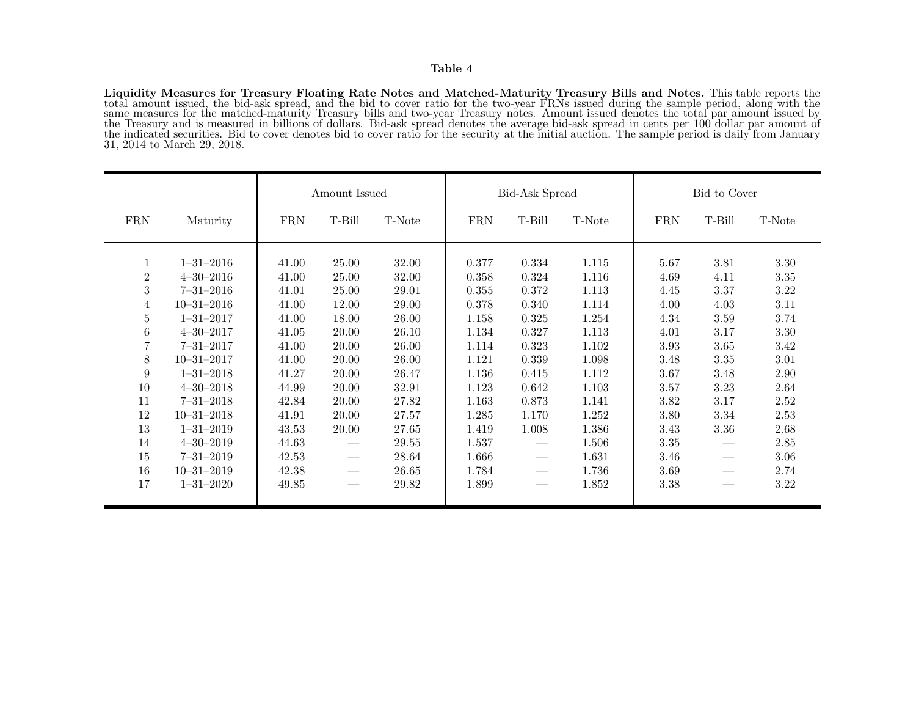#### Table 4

Liquidity Measures for Treasury Floating Rate Notes and Matched-Maturity Treasury Bills and Notes. This table reports the total amount issued, the bid-ask spread, and the bid to cover ratio for the two-year FRNs issued during the sample period, along with the same measures for the matched-maturity Treasury bills and two-year Treasury notes. Amount issued denotes the total par amount issued by the Treasury and is measured in billions of dollars. Bid-ask spread denotes the average bid-ask spread in cents per 100 dollar par amount of the indicated securities. Bid to cover denotes bid to cover ratio for the security at the initial auction. The sample period is daily from January 31, 2014 to March 29, 2018.

|                                                                                                                                          |                                                                                                                                                                                                                                                                                              | Amount Issued                                                                                                                       |                                                                                                                                            | Bid-Ask Spread                                                                                                                      |                                                                                                                                     |                                                                                                                                                                                  | Bid to Cover                                                                                                                        |                                                                                                                      |                                                                                                                  |                                                                                                                          |
|------------------------------------------------------------------------------------------------------------------------------------------|----------------------------------------------------------------------------------------------------------------------------------------------------------------------------------------------------------------------------------------------------------------------------------------------|-------------------------------------------------------------------------------------------------------------------------------------|--------------------------------------------------------------------------------------------------------------------------------------------|-------------------------------------------------------------------------------------------------------------------------------------|-------------------------------------------------------------------------------------------------------------------------------------|----------------------------------------------------------------------------------------------------------------------------------------------------------------------------------|-------------------------------------------------------------------------------------------------------------------------------------|----------------------------------------------------------------------------------------------------------------------|------------------------------------------------------------------------------------------------------------------|--------------------------------------------------------------------------------------------------------------------------|
| <b>FRN</b>                                                                                                                               | Maturity                                                                                                                                                                                                                                                                                     | <b>FRN</b>                                                                                                                          | T-Bill                                                                                                                                     | T-Note                                                                                                                              | <b>FRN</b>                                                                                                                          | T-Bill                                                                                                                                                                           | T-Note                                                                                                                              | <b>FRN</b>                                                                                                           | T-Bill                                                                                                           | T-Note                                                                                                                   |
| 1<br>$\sqrt{2}$<br>$\sqrt{3}$<br>4<br>$\overline{5}$<br>6<br>$\overline{7}$<br>8<br>$\boldsymbol{9}$<br>10<br>11<br>12<br>13<br>14<br>15 | $1 - 31 - 2016$<br>$4 - 30 - 2016$<br>$7 - 31 - 2016$<br>$10 - 31 - 2016$<br>$1 - 31 - 2017$<br>$4 - 30 - 2017$<br>$7 - 31 - 2017$<br>$10 - 31 - 2017$<br>$1 - 31 - 2018$<br>$4 - 30 - 2018$<br>$7 - 31 - 2018$<br>$10 - 31 - 2018$<br>$1 - 31 - 2019$<br>$4 - 30 - 2019$<br>$7 - 31 - 2019$ | 41.00<br>41.00<br>41.01<br>41.00<br>41.00<br>41.05<br>41.00<br>41.00<br>41.27<br>44.99<br>42.84<br>41.91<br>43.53<br>44.63<br>42.53 | 25.00<br>$25.00\,$<br>25.00<br>12.00<br>18.00<br>20.00<br>20.00<br>20.00<br>20.00<br>20.00<br>20.00<br>20.00<br>20.00<br>$\hspace{0.05cm}$ | 32.00<br>32.00<br>29.01<br>29.00<br>26.00<br>26.10<br>26.00<br>26.00<br>26.47<br>32.91<br>27.82<br>27.57<br>27.65<br>29.55<br>28.64 | 0.377<br>0.358<br>0.355<br>0.378<br>1.158<br>1.134<br>1.114<br>1.121<br>1.136<br>1.123<br>1.163<br>1.285<br>1.419<br>1.537<br>1.666 | 0.334<br>0.324<br>0.372<br>0.340<br>0.325<br>0.327<br>0.323<br>0.339<br>0.415<br>0.642<br>0.873<br>1.170<br>1.008<br>$\hspace{0.1mm}-\hspace{0.1mm}$<br>$\overline{\phantom{m}}$ | 1.115<br>1.116<br>1.113<br>1.114<br>1.254<br>1.113<br>1.102<br>1.098<br>1.112<br>1.103<br>1.141<br>1.252<br>1.386<br>1.506<br>1.631 | 5.67<br>4.69<br>4.45<br>4.00<br>4.34<br>4.01<br>3.93<br>3.48<br>3.67<br>3.57<br>3.82<br>3.80<br>3.43<br>3.35<br>3.46 | 3.81<br>4.11<br>3.37<br>4.03<br>3.59<br>3.17<br>3.65<br>3.35<br>3.48<br>$3.23\,$<br>$3.17\,$<br>$3.34\,$<br>3.36 | 3.30<br>$3.35\,$<br>3.22<br>3.11<br>3.74<br>3.30<br>3.42<br>3.01<br>2.90<br>2.64<br>2.52<br>2.53<br>2.68<br>2.85<br>3.06 |
| 16<br>17                                                                                                                                 | $10 - 31 - 2019$<br>$1 - 31 - 2020$                                                                                                                                                                                                                                                          | 42.38<br>49.85                                                                                                                      |                                                                                                                                            | 26.65<br>29.82                                                                                                                      | 1.784<br>1.899                                                                                                                      | $\hspace{0.05cm}$                                                                                                                                                                | 1.736<br>1.852                                                                                                                      | 3.69<br>3.38                                                                                                         |                                                                                                                  | 2.74<br>3.22                                                                                                             |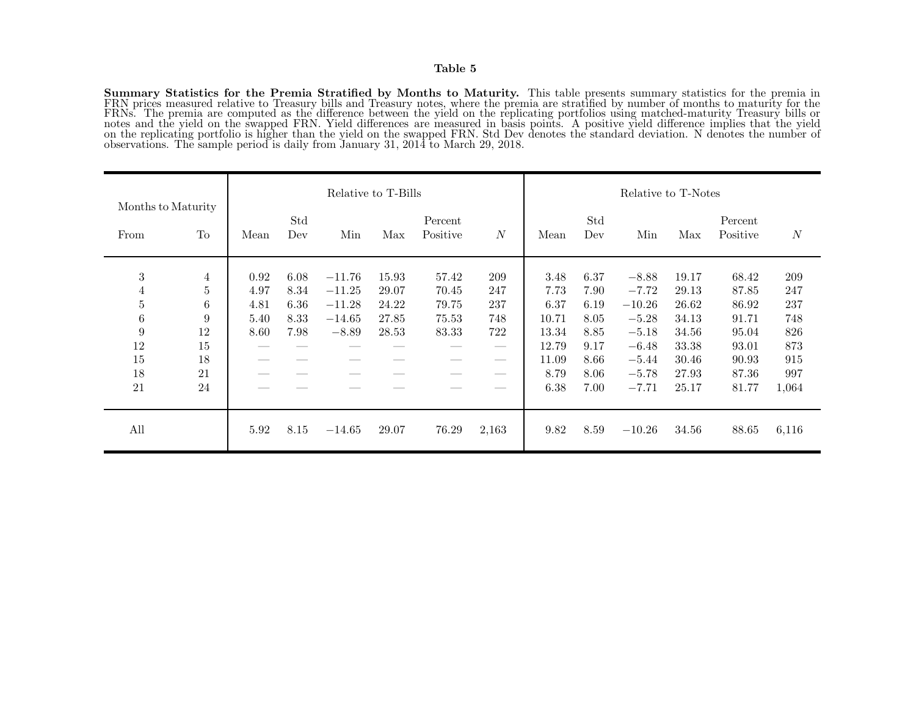Summary Statistics for the Premia Stratified by Months to Maturity. This table presents summary statistics for the premia in FRN prices measured relative to Treasury bills and Treasury notes, where the premia are stratified by number of months to maturity for the FRNs. The premia are computed as the difference between the yield on the replicating portfolios using matched-maturity Treasury bills or notes and the yield on the swapped FRN. Yield differences are measured in basis points. A positive yield difference implies that the yield on the replicating portfolio is higher than the yield on the swapped FRN. Std Dev denotes the standard deviation. N denotes the number of observations. The sample period is daily from January 31, 2014 to March 29, 2018.

|                            |    | Relative to T-Bills |            |          |       |                     | Relative to T-Notes |       |            |          |       |                     |          |
|----------------------------|----|---------------------|------------|----------|-------|---------------------|---------------------|-------|------------|----------|-------|---------------------|----------|
| Months to Maturity<br>From | To | Mean                | Std<br>Dev | Min      | Max   | Percent<br>Positive | $\overline{N}$      | Mean  | Std<br>Dev | Min      | Max   | Percent<br>Positive | $\cal N$ |
| 3                          | 4  | 0.92                | 6.08       | $-11.76$ | 15.93 | 57.42               | 209                 | 3.48  | 6.37       | $-8.88$  | 19.17 | 68.42               | 209      |
| 4                          | 5  | 4.97                | 8.34       | $-11.25$ | 29.07 | 70.45               | 247                 | 7.73  | 7.90       | $-7.72$  | 29.13 | 87.85               | 247      |
| $\bf 5$                    | 6  | 4.81                | 6.36       | $-11.28$ | 24.22 | 79.75               | 237                 | 6.37  | 6.19       | $-10.26$ | 26.62 | 86.92               | 237      |
| $\,6$                      | 9  | 5.40                | 8.33       | $-14.65$ | 27.85 | 75.53               | 748                 | 10.71 | 8.05       | $-5.28$  | 34.13 | 91.71               | 748      |
| 9                          | 12 | 8.60                | 7.98       | $-8.89$  | 28.53 | 83.33               | 722                 | 13.34 | 8.85       | $-5.18$  | 34.56 | 95.04               | 826      |
| 12                         | 15 |                     |            |          |       |                     |                     | 12.79 | 9.17       | $-6.48$  | 33.38 | 93.01               | 873      |
| 15                         | 18 |                     |            |          |       |                     |                     | 11.09 | 8.66       | $-5.44$  | 30.46 | 90.93               | 915      |
| 18                         | 21 |                     |            |          |       |                     | --                  | 8.79  | 8.06       | $-5.78$  | 27.93 | 87.36               | 997      |
| 21                         | 24 |                     |            |          |       |                     | __                  | 6.38  | 7.00       | $-7.71$  | 25.17 | 81.77               | 1,064    |
| All                        |    | 5.92                | 8.15       | $-14.65$ | 29.07 | 76.29               | 2,163               | 9.82  | 8.59       | $-10.26$ | 34.56 | 88.65               | 6,116    |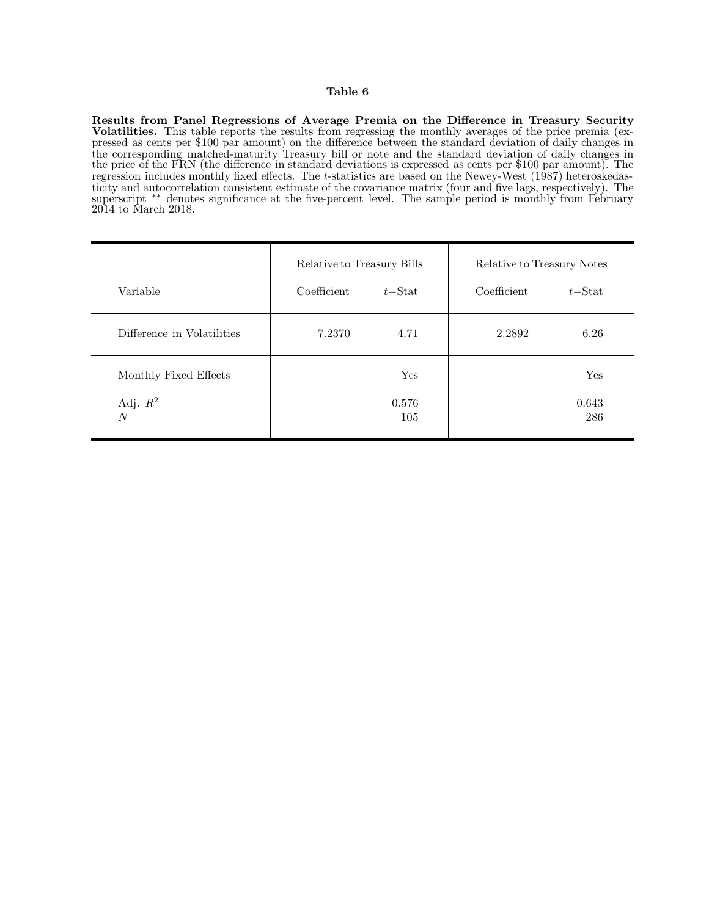#### Table 6

Results from Panel Regressions of Average Premia on the Difference in Treasury Security Volatilities. This table reports the results from regressing the monthly averages of the price premia (expressed as cents per \$100 par amount) on the difference between the standard deviation of daily changes in the corresponding matched-maturity Treasury bill or note and the standard deviation of daily changes in the price of the FRN (the difference in standard deviations is expressed as cents per \$100 par amount). The regression includes monthly fixed effects. The t-statistics are based on the Newey-West (1987) heteroskedasticity and autocorrelation consistent estimate of the covariance matrix (four and five lags, respectively). The superscript ∗∗ denotes significance at the five-percent level. The sample period is monthly from February 2014 to March 2018.

|                              | Relative to Treasury Bills |              | Relative to Treasury Notes |              |  |
|------------------------------|----------------------------|--------------|----------------------------|--------------|--|
| Variable                     | Coefficient                | $t$ -Stat    | Coefficient                | $t$ -Stat    |  |
| Difference in Volatilities   | 7.2370                     | 4.71         | 2.2892                     | 6.26         |  |
| Monthly Fixed Effects        |                            | Yes          |                            | Yes          |  |
| Adj. $R^2$<br>$\overline{N}$ |                            | 0.576<br>105 |                            | 0.643<br>286 |  |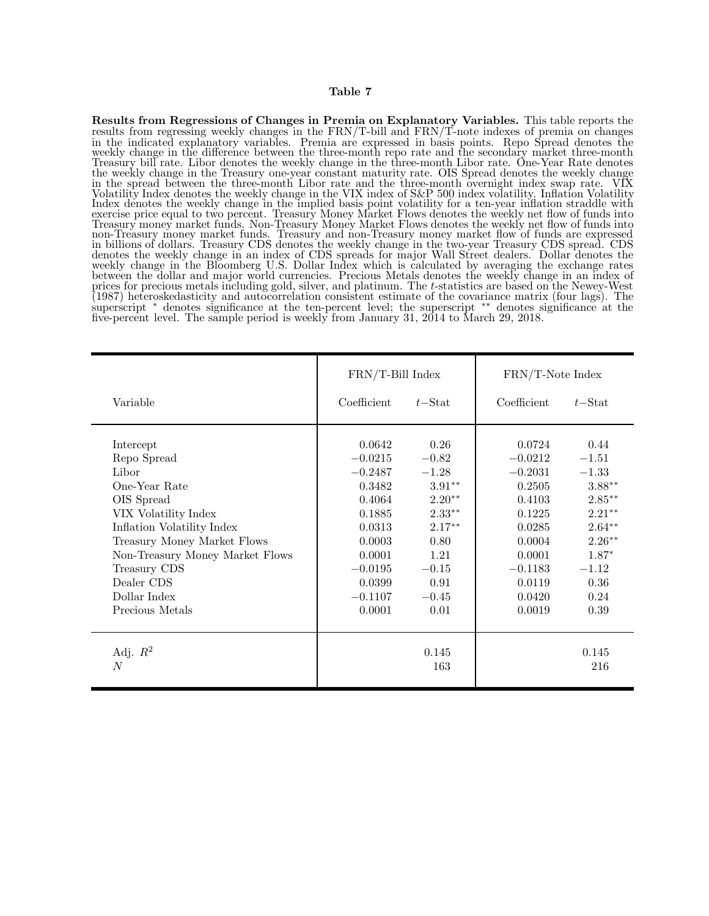Results from Regressions of Changes in Premia on Explanatory Variables. This table reports the results from regressing weekly changes in the FRN/T-bill and FRN/T-note indexes of premia on changes in the indicated explanatory variables. Premia are expressed in basis points. Repo Spread denotes the weekly change in the difference between the three-month repo rate and the secondary market three-month Treasury bill rate. Libor denotes the weekly change in the three-month Libor rate. One-Year Rate denotes the weekly change in the Treasury one-year constant maturity rate. OIS Spread denotes the weekly change in the spread between the three-month Libor rate and the three-month overnight index swap rate. VIX Volatility Index denotes the weekly change in the VIX index of S&P 500 index volatility. Inflation Volatility Index denotes the weekly change in the implied basis point volatility for a ten-year inflation straddle with exercise price equal to two percent. Treasury Money Market Flows denotes the weekly net flow of funds into Treasury money market funds. Non-Treasury Money Market Flows denotes the weekly net flow of funds into non-Treasury money market funds. Treasury and non-Treasury money market flow of funds are expressed in billions of dollars. Treasury CDS denotes the weekly change in the two-year Treasury CDS spread. CDS denotes the weekly change in an index of CDS spreads for major Wall Street dealers. Dollar denotes the weekly change in the Bloomberg U.S. Dollar Index which is calculated by averaging the exchange rates between the dollar and major world currencies. Precious Metals denotes the weekly change in an index of prices for precious metals including gold, silver, and platinum. The t-statistics are based on the Newey-West (1987) heteroskedasticity and autocorrelation consistent estimate of the covariance matrix (four lags). The superscript <sup>∗</sup> denotes significance at the ten-percent level; the superscript ∗∗ denotes significance at the five-percent level. The sample period is weekly from January 31, 2014 to March 29, 2018.

|                                                                                                                                                                                                                                                           | FRN/T-Bill Index                                                                                                                           |                                                                                                                                    | FRN/T-Note Index                                                                                                                        |                                                                                                                                          |
|-----------------------------------------------------------------------------------------------------------------------------------------------------------------------------------------------------------------------------------------------------------|--------------------------------------------------------------------------------------------------------------------------------------------|------------------------------------------------------------------------------------------------------------------------------------|-----------------------------------------------------------------------------------------------------------------------------------------|------------------------------------------------------------------------------------------------------------------------------------------|
| Variable                                                                                                                                                                                                                                                  | Coefficient                                                                                                                                | $t$ -Stat                                                                                                                          | Coefficient                                                                                                                             | $t$ –Stat                                                                                                                                |
| Intercept<br>Repo Spread<br>Libor<br>One-Year Rate<br>OIS Spread<br>VIX Volatility Index<br>Inflation Volatility Index<br>Treasury Money Market Flows<br>Non-Treasury Money Market Flows<br>Treasury CDS<br>Dealer CDS<br>Dollar Index<br>Precious Metals | 0.0642<br>$-0.0215$<br>$-0.2487$<br>0.3482<br>0.4064<br>0.1885<br>0.0313<br>0.0003<br>0.0001<br>$-0.0195$<br>0.0399<br>$-0.1107$<br>0.0001 | 0.26<br>$-0.82$<br>$-1.28$<br>$3.91**$<br>$2.20**$<br>$2.33***$<br>$2.17***$<br>0.80<br>1.21<br>$-0.15$<br>0.91<br>$-0.45$<br>0.01 | 0.0724<br>$-0.0212$<br>$-0.2031$<br>0.2505<br>0.4103<br>0.1225<br>0.0285<br>0.0004<br>0.0001<br>$-0.1183$<br>0.0119<br>0.0420<br>0.0019 | 0.44<br>$-1.51$<br>$-1.33$<br>$3.88***$<br>$2.85***$<br>$2.21***$<br>$2.64**$<br>$2.26***$<br>$1.87*$<br>$-1.12$<br>0.36<br>0.24<br>0.39 |
| Adj. $R^2$<br>$\overline{N}$                                                                                                                                                                                                                              |                                                                                                                                            | 0.145<br>163                                                                                                                       |                                                                                                                                         | 0.145<br>216                                                                                                                             |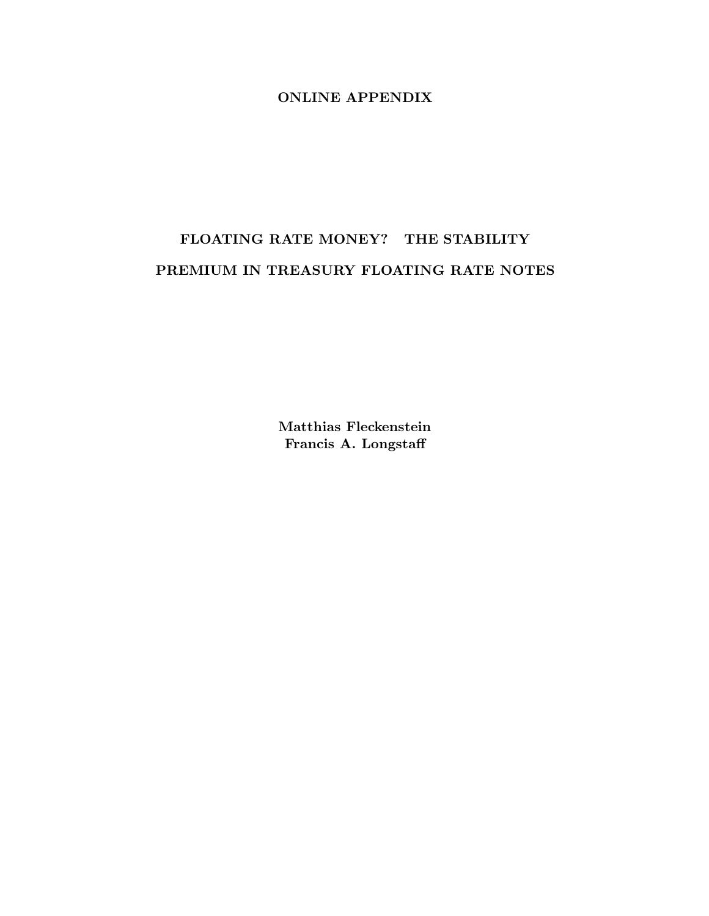# ONLINE APPENDIX

# FLOATING RATE MONEY? THE STABILITY PREMIUM IN TREASURY FLOATING RATE NOTES

Matthias Fleckenstein Francis A. Longstaff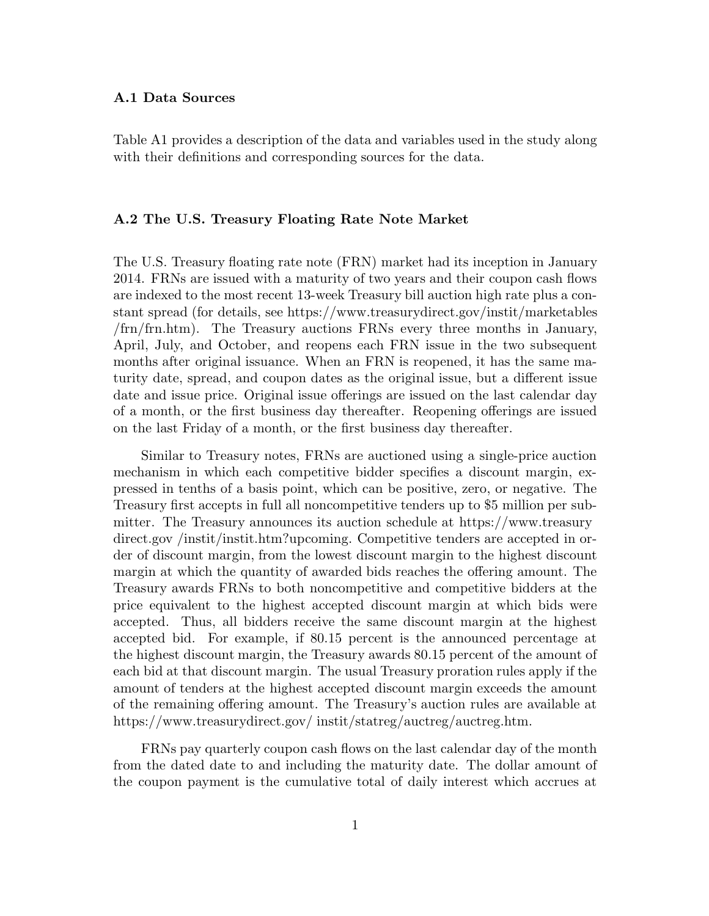# A.1 Data Sources

Table A1 provides a description of the data and variables used in the study along with their definitions and corresponding sources for the data.

## A.2 The U.S. Treasury Floating Rate Note Market

The U.S. Treasury floating rate note (FRN) market had its inception in January 2014. FRNs are issued with a maturity of two years and their coupon cash flows are indexed to the most recent 13-week Treasury bill auction high rate plus a constant spread (for details, see https://www.treasurydirect.gov/instit/marketables /frn/frn.htm). The Treasury auctions FRNs every three months in January, April, July, and October, and reopens each FRN issue in the two subsequent months after original issuance. When an FRN is reopened, it has the same maturity date, spread, and coupon dates as the original issue, but a different issue date and issue price. Original issue offerings are issued on the last calendar day of a month, or the first business day thereafter. Reopening offerings are issued on the last Friday of a month, or the first business day thereafter.

Similar to Treasury notes, FRNs are auctioned using a single-price auction mechanism in which each competitive bidder specifies a discount margin, expressed in tenths of a basis point, which can be positive, zero, or negative. The Treasury first accepts in full all noncompetitive tenders up to \$5 million per submitter. The Treasury announces its auction schedule at https://www.treasury direct.gov /instit/instit.htm?upcoming. Competitive tenders are accepted in order of discount margin, from the lowest discount margin to the highest discount margin at which the quantity of awarded bids reaches the offering amount. The Treasury awards FRNs to both noncompetitive and competitive bidders at the price equivalent to the highest accepted discount margin at which bids were accepted. Thus, all bidders receive the same discount margin at the highest accepted bid. For example, if 80.15 percent is the announced percentage at the highest discount margin, the Treasury awards 80.15 percent of the amount of each bid at that discount margin. The usual Treasury proration rules apply if the amount of tenders at the highest accepted discount margin exceeds the amount of the remaining offering amount. The Treasury's auction rules are available at https://www.treasurydirect.gov/ instit/statreg/auctreg/auctreg.htm.

FRNs pay quarterly coupon cash flows on the last calendar day of the month from the dated date to and including the maturity date. The dollar amount of the coupon payment is the cumulative total of daily interest which accrues at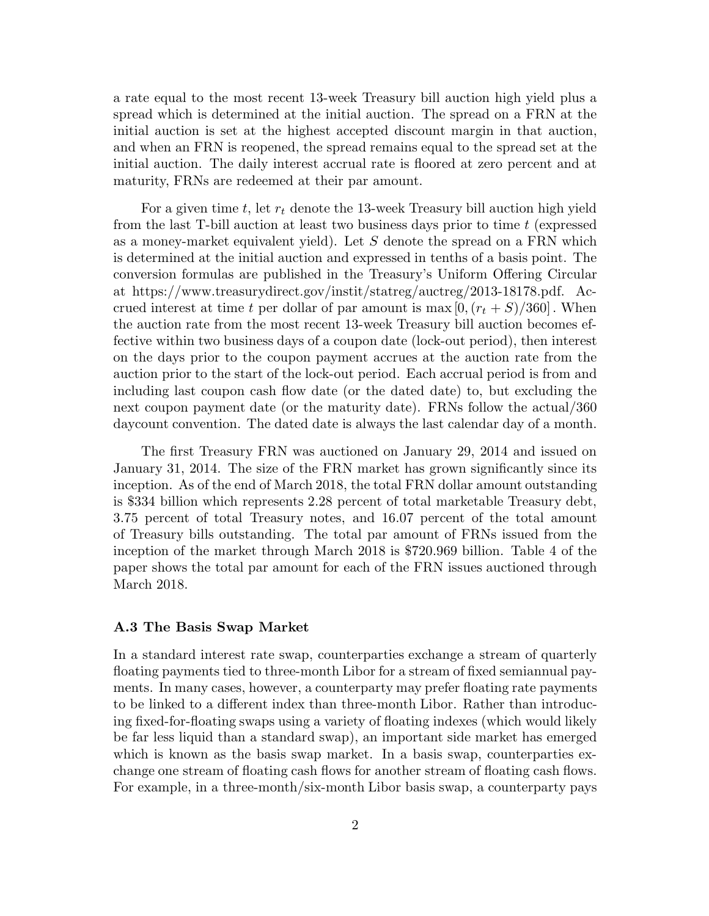a rate equal to the most recent 13-week Treasury bill auction high yield plus a spread which is determined at the initial auction. The spread on a FRN at the initial auction is set at the highest accepted discount margin in that auction, and when an FRN is reopened, the spread remains equal to the spread set at the initial auction. The daily interest accrual rate is floored at zero percent and at maturity, FRNs are redeemed at their par amount.

For a given time  $t$ , let  $r_t$  denote the 13-week Treasury bill auction high yield from the last  $T$ -bill auction at least two business days prior to time  $t$  (expressed as a money-market equivalent yield). Let S denote the spread on a FRN which is determined at the initial auction and expressed in tenths of a basis point. The conversion formulas are published in the Treasury's Uniform Offering Circular at https://www.treasurydirect.gov/instit/statreg/auctreg/2013-18178.pdf. Accrued interest at time t per dollar of par amount is max  $[0,(r_t + S)/360]$ . When the auction rate from the most recent 13-week Treasury bill auction becomes effective within two business days of a coupon date (lock-out period), then interest on the days prior to the coupon payment accrues at the auction rate from the auction prior to the start of the lock-out period. Each accrual period is from and including last coupon cash flow date (or the dated date) to, but excluding the next coupon payment date (or the maturity date). FRNs follow the actual/360 daycount convention. The dated date is always the last calendar day of a month.

The first Treasury FRN was auctioned on January 29, 2014 and issued on January 31, 2014. The size of the FRN market has grown significantly since its inception. As of the end of March 2018, the total FRN dollar amount outstanding is \$334 billion which represents 2.28 percent of total marketable Treasury debt, 3.75 percent of total Treasury notes, and 16.07 percent of the total amount of Treasury bills outstanding. The total par amount of FRNs issued from the inception of the market through March 2018 is \$720.969 billion. Table 4 of the paper shows the total par amount for each of the FRN issues auctioned through March 2018.

## A.3 The Basis Swap Market

In a standard interest rate swap, counterparties exchange a stream of quarterly floating payments tied to three-month Libor for a stream of fixed semiannual payments. In many cases, however, a counterparty may prefer floating rate payments to be linked to a different index than three-month Libor. Rather than introducing fixed-for-floating swaps using a variety of floating indexes (which would likely be far less liquid than a standard swap), an important side market has emerged which is known as the basis swap market. In a basis swap, counterparties exchange one stream of floating cash flows for another stream of floating cash flows. For example, in a three-month/six-month Libor basis swap, a counterparty pays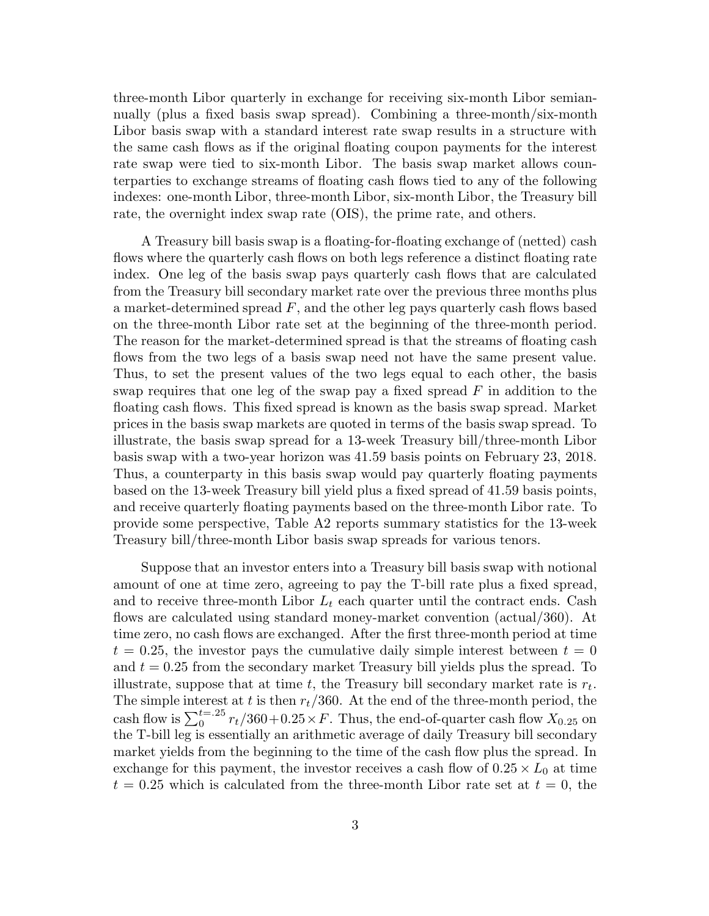three-month Libor quarterly in exchange for receiving six-month Libor semiannually (plus a fixed basis swap spread). Combining a three-month/six-month Libor basis swap with a standard interest rate swap results in a structure with the same cash flows as if the original floating coupon payments for the interest rate swap were tied to six-month Libor. The basis swap market allows counterparties to exchange streams of floating cash flows tied to any of the following indexes: one-month Libor, three-month Libor, six-month Libor, the Treasury bill rate, the overnight index swap rate (OIS), the prime rate, and others.

A Treasury bill basis swap is a floating-for-floating exchange of (netted) cash flows where the quarterly cash flows on both legs reference a distinct floating rate index. One leg of the basis swap pays quarterly cash flows that are calculated from the Treasury bill secondary market rate over the previous three months plus a market-determined spread  $F$ , and the other leg pays quarterly cash flows based on the three-month Libor rate set at the beginning of the three-month period. The reason for the market-determined spread is that the streams of floating cash flows from the two legs of a basis swap need not have the same present value. Thus, to set the present values of the two legs equal to each other, the basis swap requires that one leg of the swap pay a fixed spread  $F$  in addition to the floating cash flows. This fixed spread is known as the basis swap spread. Market prices in the basis swap markets are quoted in terms of the basis swap spread. To illustrate, the basis swap spread for a 13-week Treasury bill/three-month Libor basis swap with a two-year horizon was 41.59 basis points on February 23, 2018. Thus, a counterparty in this basis swap would pay quarterly floating payments based on the 13-week Treasury bill yield plus a fixed spread of 41.59 basis points, and receive quarterly floating payments based on the three-month Libor rate. To provide some perspective, Table A2 reports summary statistics for the 13-week Treasury bill/three-month Libor basis swap spreads for various tenors.

Suppose that an investor enters into a Treasury bill basis swap with notional amount of one at time zero, agreeing to pay the T-bill rate plus a fixed spread, and to receive three-month Libor  $L_t$  each quarter until the contract ends. Cash flows are calculated using standard money-market convention (actual/360). At time zero, no cash flows are exchanged. After the first three-month period at time  $t = 0.25$ , the investor pays the cumulative daily simple interest between  $t = 0$ and  $t = 0.25$  from the secondary market Treasury bill yields plus the spread. To illustrate, suppose that at time t, the Treasury bill secondary market rate is  $r_t$ . The simple interest at t is then  $r_t/360$ . At the end of the three-month period, the cash flow is  $\sum_{0}^{t=0.25} r_t/360+0.25\times F$ . Thus, the end-of-quarter cash flow  $X_{0.25}$  on the T-bill leg is essentially an arithmetic average of daily Treasury bill secondary market yields from the beginning to the time of the cash flow plus the spread. In exchange for this payment, the investor receives a cash flow of  $0.25 \times L_0$  at time  $t = 0.25$  which is calculated from the three-month Libor rate set at  $t = 0$ , the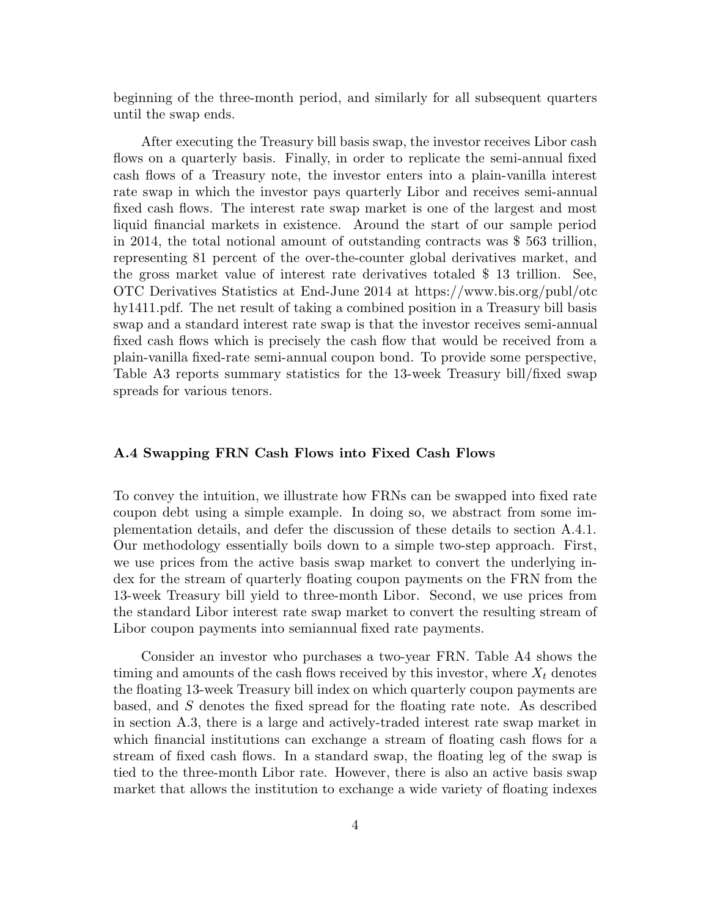beginning of the three-month period, and similarly for all subsequent quarters until the swap ends.

After executing the Treasury bill basis swap, the investor receives Libor cash flows on a quarterly basis. Finally, in order to replicate the semi-annual fixed cash flows of a Treasury note, the investor enters into a plain-vanilla interest rate swap in which the investor pays quarterly Libor and receives semi-annual fixed cash flows. The interest rate swap market is one of the largest and most liquid financial markets in existence. Around the start of our sample period in 2014, the total notional amount of outstanding contracts was \$ 563 trillion, representing 81 percent of the over-the-counter global derivatives market, and the gross market value of interest rate derivatives totaled \$ 13 trillion. See, OTC Derivatives Statistics at End-June 2014 at https://www.bis.org/publ/otc hy1411.pdf. The net result of taking a combined position in a Treasury bill basis swap and a standard interest rate swap is that the investor receives semi-annual fixed cash flows which is precisely the cash flow that would be received from a plain-vanilla fixed-rate semi-annual coupon bond. To provide some perspective, Table A3 reports summary statistics for the 13-week Treasury bill/fixed swap spreads for various tenors.

# A.4 Swapping FRN Cash Flows into Fixed Cash Flows

To convey the intuition, we illustrate how FRNs can be swapped into fixed rate coupon debt using a simple example. In doing so, we abstract from some implementation details, and defer the discussion of these details to section A.4.1. Our methodology essentially boils down to a simple two-step approach. First, we use prices from the active basis swap market to convert the underlying index for the stream of quarterly floating coupon payments on the FRN from the 13-week Treasury bill yield to three-month Libor. Second, we use prices from the standard Libor interest rate swap market to convert the resulting stream of Libor coupon payments into semiannual fixed rate payments.

Consider an investor who purchases a two-year FRN. Table A4 shows the timing and amounts of the cash flows received by this investor, where  $X_t$  denotes the floating 13-week Treasury bill index on which quarterly coupon payments are based, and S denotes the fixed spread for the floating rate note. As described in section A.3, there is a large and actively-traded interest rate swap market in which financial institutions can exchange a stream of floating cash flows for a stream of fixed cash flows. In a standard swap, the floating leg of the swap is tied to the three-month Libor rate. However, there is also an active basis swap market that allows the institution to exchange a wide variety of floating indexes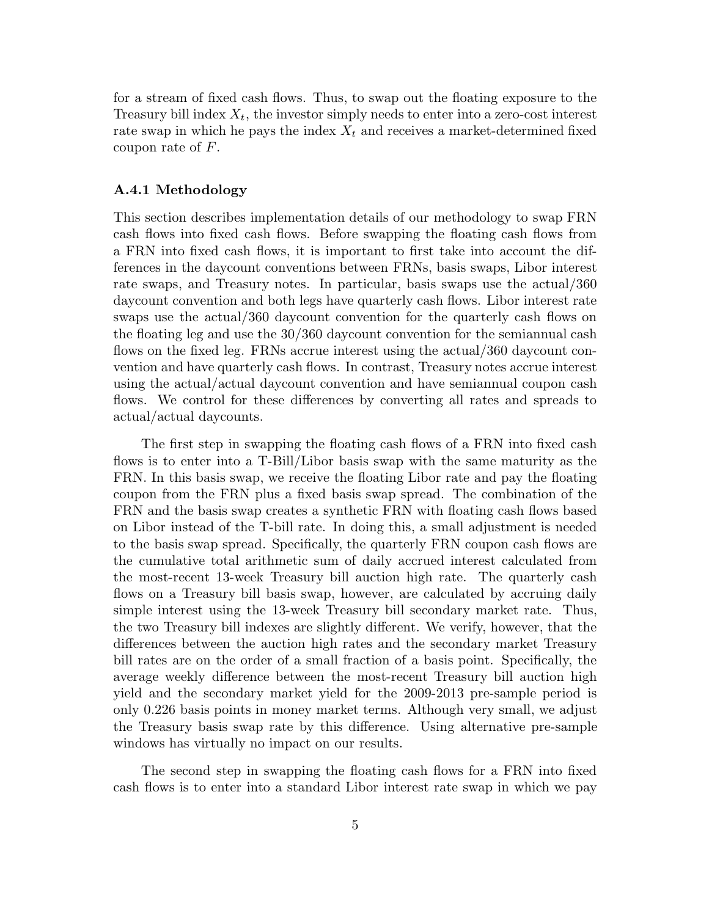for a stream of fixed cash flows. Thus, to swap out the floating exposure to the Treasury bill index  $X_t$ , the investor simply needs to enter into a zero-cost interest rate swap in which he pays the index  $X_t$  and receives a market-determined fixed coupon rate of  $F$ .

# A.4.1 Methodology

This section describes implementation details of our methodology to swap FRN cash flows into fixed cash flows. Before swapping the floating cash flows from a FRN into fixed cash flows, it is important to first take into account the differences in the daycount conventions between FRNs, basis swaps, Libor interest rate swaps, and Treasury notes. In particular, basis swaps use the actual/360 daycount convention and both legs have quarterly cash flows. Libor interest rate swaps use the actual/360 daycount convention for the quarterly cash flows on the floating leg and use the 30/360 daycount convention for the semiannual cash flows on the fixed leg. FRNs accrue interest using the actual/360 daycount convention and have quarterly cash flows. In contrast, Treasury notes accrue interest using the actual/actual daycount convention and have semiannual coupon cash flows. We control for these differences by converting all rates and spreads to actual/actual daycounts.

The first step in swapping the floating cash flows of a FRN into fixed cash flows is to enter into a T-Bill/Libor basis swap with the same maturity as the FRN. In this basis swap, we receive the floating Libor rate and pay the floating coupon from the FRN plus a fixed basis swap spread. The combination of the FRN and the basis swap creates a synthetic FRN with floating cash flows based on Libor instead of the T-bill rate. In doing this, a small adjustment is needed to the basis swap spread. Specifically, the quarterly FRN coupon cash flows are the cumulative total arithmetic sum of daily accrued interest calculated from the most-recent 13-week Treasury bill auction high rate. The quarterly cash flows on a Treasury bill basis swap, however, are calculated by accruing daily simple interest using the 13-week Treasury bill secondary market rate. Thus, the two Treasury bill indexes are slightly different. We verify, however, that the differences between the auction high rates and the secondary market Treasury bill rates are on the order of a small fraction of a basis point. Specifically, the average weekly difference between the most-recent Treasury bill auction high yield and the secondary market yield for the 2009-2013 pre-sample period is only 0.226 basis points in money market terms. Although very small, we adjust the Treasury basis swap rate by this difference. Using alternative pre-sample windows has virtually no impact on our results.

The second step in swapping the floating cash flows for a FRN into fixed cash flows is to enter into a standard Libor interest rate swap in which we pay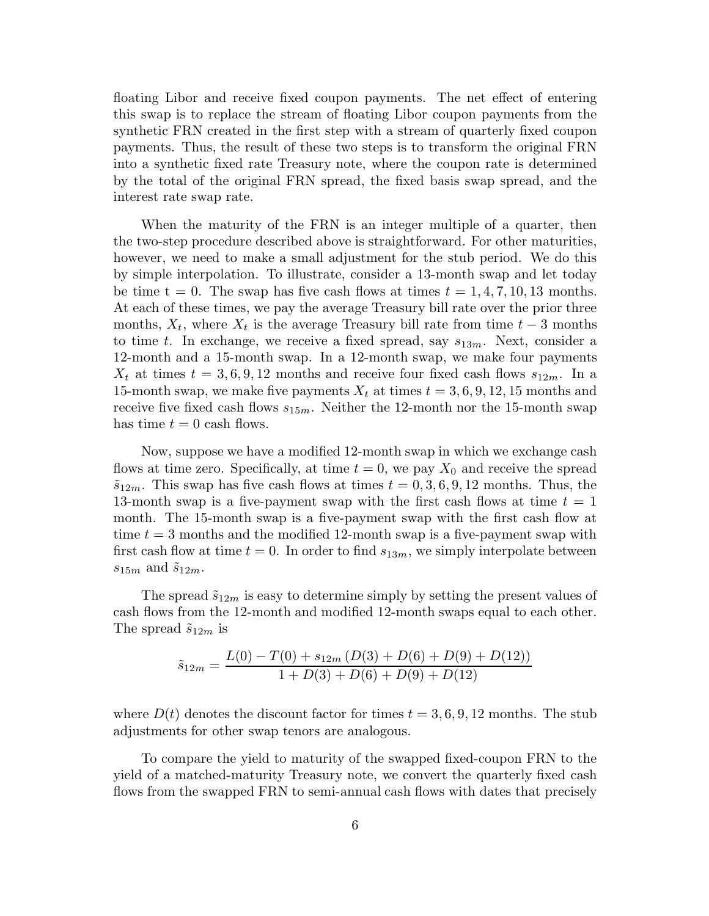floating Libor and receive fixed coupon payments. The net effect of entering this swap is to replace the stream of floating Libor coupon payments from the synthetic FRN created in the first step with a stream of quarterly fixed coupon payments. Thus, the result of these two steps is to transform the original FRN into a synthetic fixed rate Treasury note, where the coupon rate is determined by the total of the original FRN spread, the fixed basis swap spread, and the interest rate swap rate.

When the maturity of the FRN is an integer multiple of a quarter, then the two-step procedure described above is straightforward. For other maturities, however, we need to make a small adjustment for the stub period. We do this by simple interpolation. To illustrate, consider a 13-month swap and let today be time t = 0. The swap has five cash flows at times  $t = 1, 4, 7, 10, 13$  months. At each of these times, we pay the average Treasury bill rate over the prior three months,  $X_t$ , where  $X_t$  is the average Treasury bill rate from time  $t-3$  months to time t. In exchange, we receive a fixed spread, say  $s_{13m}$ . Next, consider a 12-month and a 15-month swap. In a 12-month swap, we make four payments  $X_t$  at times  $t = 3, 6, 9, 12$  months and receive four fixed cash flows  $s_{12m}$ . In a 15-month swap, we make five payments  $X_t$  at times  $t = 3, 6, 9, 12, 15$  months and receive five fixed cash flows  $s_{15m}$ . Neither the 12-month nor the 15-month swap has time  $t = 0$  cash flows.

Now, suppose we have a modified 12-month swap in which we exchange cash flows at time zero. Specifically, at time  $t = 0$ , we pay  $X_0$  and receive the spread  $\tilde{s}_{12m}$ . This swap has five cash flows at times  $t = 0, 3, 6, 9, 12$  months. Thus, the 13-month swap is a five-payment swap with the first cash flows at time  $t = 1$ month. The 15-month swap is a five-payment swap with the first cash flow at time  $t = 3$  months and the modified 12-month swap is a five-payment swap with first cash flow at time  $t = 0$ . In order to find  $s_{13m}$ , we simply interpolate between  $s_{15m}$  and  $\tilde{s}_{12m}$ .

The spread  $\tilde{s}_{12m}$  is easy to determine simply by setting the present values of cash flows from the 12-month and modified 12-month swaps equal to each other. The spread  $\tilde{s}_{12m}$  is

$$
\tilde{s}_{12m} = \frac{L(0) - T(0) + s_{12m} (D(3) + D(6) + D(9) + D(12))}{1 + D(3) + D(6) + D(9) + D(12)}
$$

where  $D(t)$  denotes the discount factor for times  $t = 3, 6, 9, 12$  months. The stub adjustments for other swap tenors are analogous.

To compare the yield to maturity of the swapped fixed-coupon FRN to the yield of a matched-maturity Treasury note, we convert the quarterly fixed cash flows from the swapped FRN to semi-annual cash flows with dates that precisely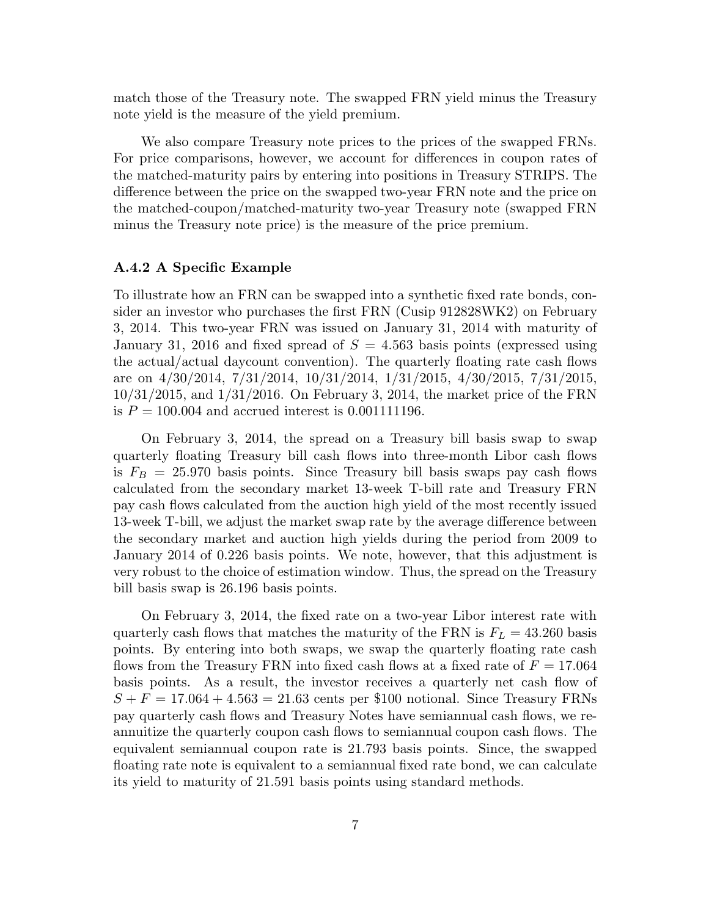match those of the Treasury note. The swapped FRN yield minus the Treasury note yield is the measure of the yield premium.

We also compare Treasury note prices to the prices of the swapped FRNs. For price comparisons, however, we account for differences in coupon rates of the matched-maturity pairs by entering into positions in Treasury STRIPS. The difference between the price on the swapped two-year FRN note and the price on the matched-coupon/matched-maturity two-year Treasury note (swapped FRN minus the Treasury note price) is the measure of the price premium.

# A.4.2 A Specific Example

To illustrate how an FRN can be swapped into a synthetic fixed rate bonds, consider an investor who purchases the first FRN (Cusip 912828WK2) on February 3, 2014. This two-year FRN was issued on January 31, 2014 with maturity of January 31, 2016 and fixed spread of  $S = 4.563$  basis points (expressed using the actual/actual daycount convention). The quarterly floating rate cash flows are on 4/30/2014, 7/31/2014, 10/31/2014, 1/31/2015, 4/30/2015, 7/31/2015, 10/31/2015, and 1/31/2016. On February 3, 2014, the market price of the FRN is  $P = 100.004$  and accrued interest is 0.001111196.

On February 3, 2014, the spread on a Treasury bill basis swap to swap quarterly floating Treasury bill cash flows into three-month Libor cash flows is  $F_B = 25.970$  basis points. Since Treasury bill basis swaps pay cash flows calculated from the secondary market 13-week T-bill rate and Treasury FRN pay cash flows calculated from the auction high yield of the most recently issued 13-week T-bill, we adjust the market swap rate by the average difference between the secondary market and auction high yields during the period from 2009 to January 2014 of 0.226 basis points. We note, however, that this adjustment is very robust to the choice of estimation window. Thus, the spread on the Treasury bill basis swap is 26.196 basis points.

On February 3, 2014, the fixed rate on a two-year Libor interest rate with quarterly cash flows that matches the maturity of the FRN is  $F_L = 43.260$  basis points. By entering into both swaps, we swap the quarterly floating rate cash flows from the Treasury FRN into fixed cash flows at a fixed rate of  $F = 17.064$ basis points. As a result, the investor receives a quarterly net cash flow of  $S + F = 17.064 + 4.563 = 21.63$  cents per \$100 notional. Since Treasury FRNs pay quarterly cash flows and Treasury Notes have semiannual cash flows, we reannuitize the quarterly coupon cash flows to semiannual coupon cash flows. The equivalent semiannual coupon rate is 21.793 basis points. Since, the swapped floating rate note is equivalent to a semiannual fixed rate bond, we can calculate its yield to maturity of 21.591 basis points using standard methods.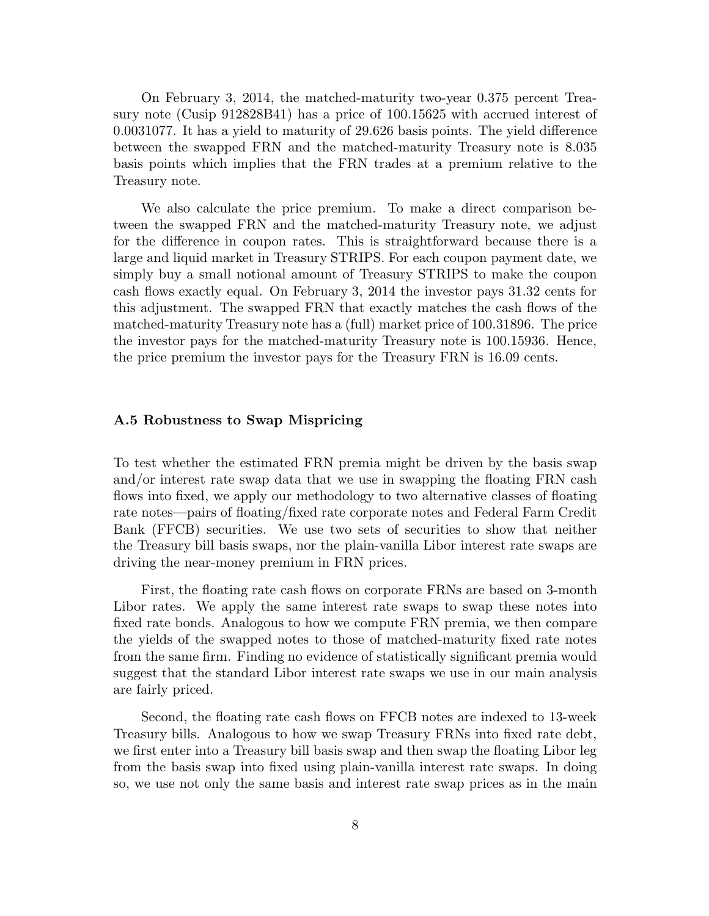On February 3, 2014, the matched-maturity two-year 0.375 percent Treasury note (Cusip 912828B41) has a price of 100.15625 with accrued interest of 0.0031077. It has a yield to maturity of 29.626 basis points. The yield difference between the swapped FRN and the matched-maturity Treasury note is 8.035 basis points which implies that the FRN trades at a premium relative to the Treasury note.

We also calculate the price premium. To make a direct comparison between the swapped FRN and the matched-maturity Treasury note, we adjust for the difference in coupon rates. This is straightforward because there is a large and liquid market in Treasury STRIPS. For each coupon payment date, we simply buy a small notional amount of Treasury STRIPS to make the coupon cash flows exactly equal. On February 3, 2014 the investor pays 31.32 cents for this adjustment. The swapped FRN that exactly matches the cash flows of the matched-maturity Treasury note has a (full) market price of 100.31896. The price the investor pays for the matched-maturity Treasury note is 100.15936. Hence, the price premium the investor pays for the Treasury FRN is 16.09 cents.

## A.5 Robustness to Swap Mispricing

To test whether the estimated FRN premia might be driven by the basis swap and/or interest rate swap data that we use in swapping the floating FRN cash flows into fixed, we apply our methodology to two alternative classes of floating rate notes—pairs of floating/fixed rate corporate notes and Federal Farm Credit Bank (FFCB) securities. We use two sets of securities to show that neither the Treasury bill basis swaps, nor the plain-vanilla Libor interest rate swaps are driving the near-money premium in FRN prices.

First, the floating rate cash flows on corporate FRNs are based on 3-month Libor rates. We apply the same interest rate swaps to swap these notes into fixed rate bonds. Analogous to how we compute FRN premia, we then compare the yields of the swapped notes to those of matched-maturity fixed rate notes from the same firm. Finding no evidence of statistically significant premia would suggest that the standard Libor interest rate swaps we use in our main analysis are fairly priced.

Second, the floating rate cash flows on FFCB notes are indexed to 13-week Treasury bills. Analogous to how we swap Treasury FRNs into fixed rate debt, we first enter into a Treasury bill basis swap and then swap the floating Libor leg from the basis swap into fixed using plain-vanilla interest rate swaps. In doing so, we use not only the same basis and interest rate swap prices as in the main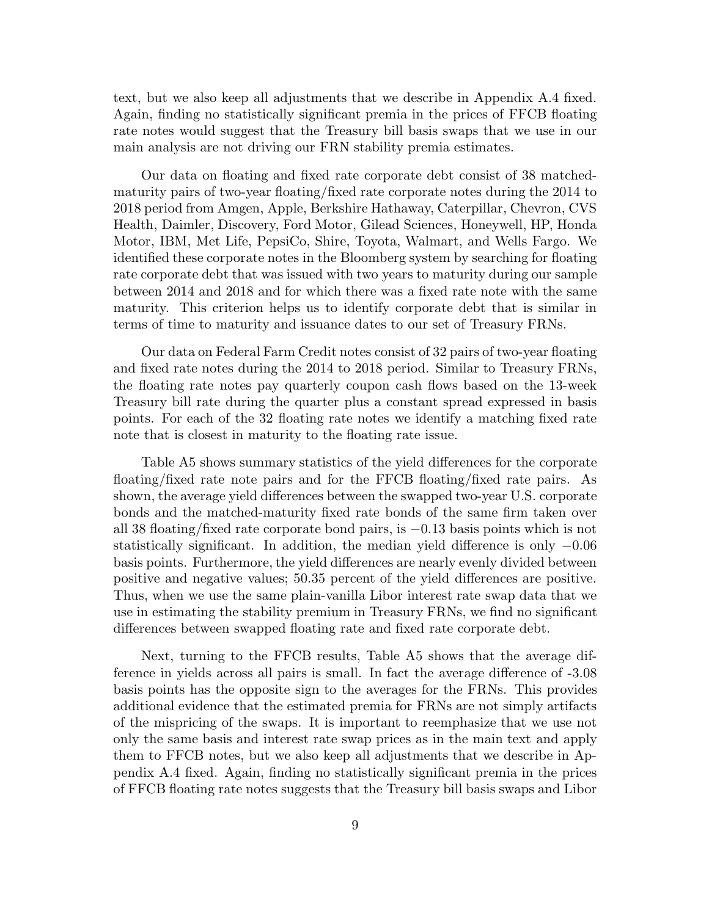text, but we also keep all adjustments that we describe in Appendix A.4 fixed. Again, finding no statistically significant premia in the prices of FFCB floating rate notes would suggest that the Treasury bill basis swaps that we use in our main analysis are not driving our FRN stability premia estimates.

Our data on floating and fixed rate corporate debt consist of 38 matchedmaturity pairs of two-year floating/fixed rate corporate notes during the 2014 to 2018 period from Amgen, Apple, Berkshire Hathaway, Caterpillar, Chevron, CVS Health, Daimler, Discovery, Ford Motor, Gilead Sciences, Honeywell, HP, Honda Motor, IBM, Met Life, PepsiCo, Shire, Toyota, Walmart, and Wells Fargo. We identified these corporate notes in the Bloomberg system by searching for floating rate corporate debt that was issued with two years to maturity during our sample between 2014 and 2018 and for which there was a fixed rate note with the same maturity. This criterion helps us to identify corporate debt that is similar in terms of time to maturity and issuance dates to our set of Treasury FRNs.

Our data on Federal Farm Credit notes consist of 32 pairs of two-year floating and fixed rate notes during the 2014 to 2018 period. Similar to Treasury FRNs, the floating rate notes pay quarterly coupon cash flows based on the 13-week Treasury bill rate during the quarter plus a constant spread expressed in basis points. For each of the 32 floating rate notes we identify a matching fixed rate note that is closest in maturity to the floating rate issue.

Table A5 shows summary statistics of the yield differences for the corporate floating/fixed rate note pairs and for the FFCB floating/fixed rate pairs. As shown, the average yield differences between the swapped two-year U.S. corporate bonds and the matched-maturity fixed rate bonds of the same firm taken over all 38 floating/fixed rate corporate bond pairs, is −0.13 basis points which is not statistically significant. In addition, the median yield difference is only −0.06 basis points. Furthermore, the yield differences are nearly evenly divided between positive and negative values; 50.35 percent of the yield differences are positive. Thus, when we use the same plain-vanilla Libor interest rate swap data that we use in estimating the stability premium in Treasury FRNs, we find no significant differences between swapped floating rate and fixed rate corporate debt.

Next, turning to the FFCB results, Table A5 shows that the average difference in yields across all pairs is small. In fact the average difference of -3.08 basis points has the opposite sign to the averages for the FRNs. This provides additional evidence that the estimated premia for FRNs are not simply artifacts of the mispricing of the swaps. It is important to reemphasize that we use not only the same basis and interest rate swap prices as in the main text and apply them to FFCB notes, but we also keep all adjustments that we describe in Appendix A.4 fixed. Again, finding no statistically significant premia in the prices of FFCB floating rate notes suggests that the Treasury bill basis swaps and Libor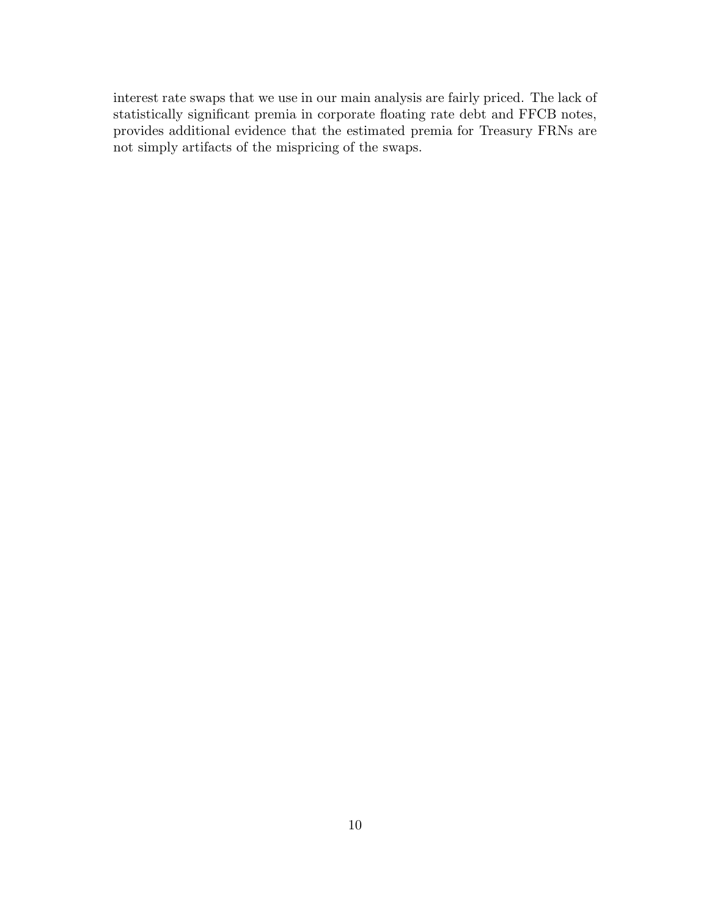interest rate swaps that we use in our main analysis are fairly priced. The lack of statistically significant premia in corporate floating rate debt and FFCB notes, provides additional evidence that the estimated premia for Treasury FRNs are not simply artifacts of the mispricing of the swaps.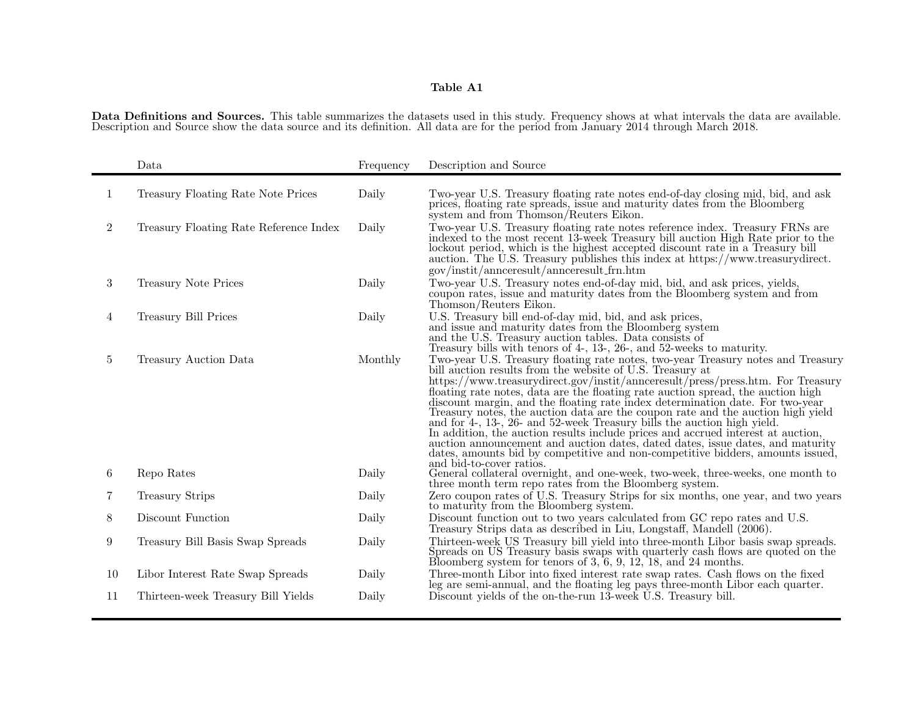Data Definitions and Sources. This table summarizes the datasets used in this study. Frequency shows at what intervals the data are available. Description and Source show the data source and its definition. All data are for the period from January 2014 through March 2018.

|                | Data                                   | Frequency | Description and Source                                                                                                                                                                                                                                                                                                                                                                                                                                                                                                                                                                                                                                                                                                                                                                                                      |
|----------------|----------------------------------------|-----------|-----------------------------------------------------------------------------------------------------------------------------------------------------------------------------------------------------------------------------------------------------------------------------------------------------------------------------------------------------------------------------------------------------------------------------------------------------------------------------------------------------------------------------------------------------------------------------------------------------------------------------------------------------------------------------------------------------------------------------------------------------------------------------------------------------------------------------|
| 1              | Treasury Floating Rate Note Prices     | Daily     | Two-year U.S. Treasury floating rate notes end-of-day closing mid, bid, and ask<br>prices, floating rate spreads, issue and maturity dates from the Bloomberg<br>system and from Thomson/Reuters Eikon.                                                                                                                                                                                                                                                                                                                                                                                                                                                                                                                                                                                                                     |
| $\overline{2}$ | Treasury Floating Rate Reference Index | Daily     | Two-year U.S. Treasury floating rate notes reference index. Treasury FRNs are<br>indexed to the most recent 13-week Treasury bill auction High Rate prior to the<br>lockout period, which is the highest accepted discount rate in a Treasury bill<br>auction. The U.S. Treasury publishes this index at https://www.treasurydirect.<br>gov/instit/annceresult/annceresult_frn.htm                                                                                                                                                                                                                                                                                                                                                                                                                                          |
| 3              | Treasury Note Prices                   | Daily     | Two-year U.S. Treasury notes end-of-day mid, bid, and ask prices, yields,<br>coupon rates, issue and maturity dates from the Bloomberg system and from<br>Thomson/Reuters Eikon.                                                                                                                                                                                                                                                                                                                                                                                                                                                                                                                                                                                                                                            |
| 4              | Treasury Bill Prices                   | Daily     | U.S. Treasury bill end-of-day mid, bid, and ask prices,<br>and issue and maturity dates from the Bloomberg system<br>and the U.S. Treasury auction tables. Data consists of<br>Treasury bills with tenors of 4-, 13-, 26-, and 52-weeks to maturity.                                                                                                                                                                                                                                                                                                                                                                                                                                                                                                                                                                        |
| 5              | Treasury Auction Data                  | Monthly   | Two-year U.S. Treasury floating rate notes, two-year Treasury notes and Treasury<br>bill auction results from the website of U.S. Treasury at<br>https://www.treasurydirect.gov/instit/annceresult/press/press.htm. For Treasury<br>floating rate notes, data are the floating rate auction spread, the auction high<br>discount margin, and the floating rate index determination date. For two-year<br>Treasury notes, the auction data are the coupon rate and the auction high yield<br>and for 4-, 13-, 26- and 52-week Treasury bills the auction high yield.<br>In addition, the auction results include prices and accrued interest at auction,<br>auction announcement and auction dates, dated dates, issue dates, and maturity<br>dates, amounts bid by competitive and non-competitive bidders, amounts issued, |
| 6              | Repo Rates                             | Daily     | and bid-to-cover ratios.<br>General collateral overnight, and one-week, two-week, three-weeks, one month to<br>three month term repo rates from the Bloomberg system.                                                                                                                                                                                                                                                                                                                                                                                                                                                                                                                                                                                                                                                       |
|                | <b>Treasury Strips</b>                 | Daily     | Zero coupon rates of U.S. Treasury Strips for six months, one year, and two years<br>to maturity from the Bloomberg system.                                                                                                                                                                                                                                                                                                                                                                                                                                                                                                                                                                                                                                                                                                 |
| 8              | Discount Function                      | Daily     | Discount function out to two years calculated from GC repo rates and U.S.<br>Treasury Strips data as described in Liu, Longstaff, Mandell (2006).                                                                                                                                                                                                                                                                                                                                                                                                                                                                                                                                                                                                                                                                           |
| 9              | Treasury Bill Basis Swap Spreads       | Daily     | Thirteen-week US Treasury bill yield into three-month Libor basis swap spreads.<br>Spreads on US Treasury basis swaps with quarterly cash flows are quoted on the Bloomberg system for tenors of $3, 6, 9, 12, 18$ , and $24$ months.                                                                                                                                                                                                                                                                                                                                                                                                                                                                                                                                                                                       |
| 10             | Libor Interest Rate Swap Spreads       | Daily     | Three-month Libor into fixed interest rate swap rates. Cash flows on the fixed<br>leg are semi-annual, and the floating leg pays three-month Libor each quarter.                                                                                                                                                                                                                                                                                                                                                                                                                                                                                                                                                                                                                                                            |
| 11             | Thirteen-week Treasury Bill Yields     | Daily     | Discount yields of the on-the-run 13-week U.S. Treasury bill.                                                                                                                                                                                                                                                                                                                                                                                                                                                                                                                                                                                                                                                                                                                                                               |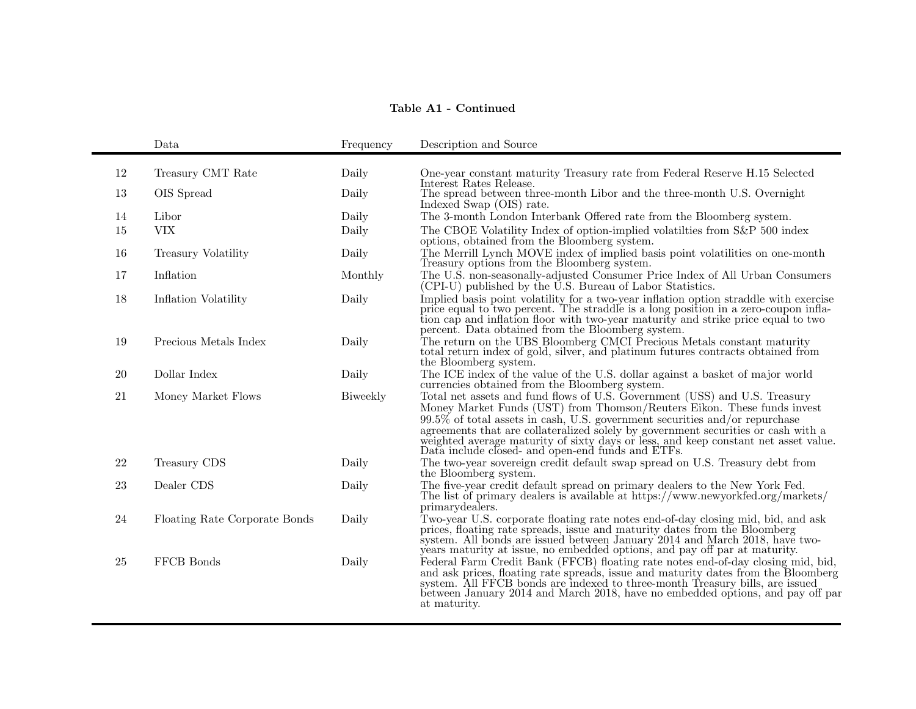# Table A1 - Continued

|    | Data                          | Frequency | Description and Source                                                                                                                                                                                                                                                                                                                                                                                                                                                |
|----|-------------------------------|-----------|-----------------------------------------------------------------------------------------------------------------------------------------------------------------------------------------------------------------------------------------------------------------------------------------------------------------------------------------------------------------------------------------------------------------------------------------------------------------------|
| 12 | Treasury CMT Rate             | Daily     | One-year constant maturity Treasury rate from Federal Reserve H.15 Selected<br>Interest Rates Release.                                                                                                                                                                                                                                                                                                                                                                |
| 13 | OIS Spread                    | Daily     | The spread between three-month Libor and the three-month U.S. Overnight<br>Indexed Swap (OIS) rate.                                                                                                                                                                                                                                                                                                                                                                   |
| 14 | Libor                         | Daily     | The 3-month London Interbank Offered rate from the Bloomberg system.                                                                                                                                                                                                                                                                                                                                                                                                  |
| 15 | <b>VIX</b>                    | Daily     | The CBOE Volatility Index of option-implied volatilities from S&P 500 index<br>options, obtained from the Bloomberg system.                                                                                                                                                                                                                                                                                                                                           |
| 16 | Treasury Volatility           | Daily     | The Merrill Lynch MOVE index of implied basis point volatilities on one-month<br>Treasury options from the Bloomberg system.                                                                                                                                                                                                                                                                                                                                          |
| 17 | Inflation                     | Monthly   | The U.S. non-seasonally-adjusted Consumer Price Index of All Urban Consumers<br>(CPI-U) published by the U.S. Bureau of Labor Statistics.                                                                                                                                                                                                                                                                                                                             |
| 18 | Inflation Volatility          | Daily     | Implied basis point volatility for a two-year inflation option straddle with exercise<br>price equal to two percent. The straddle is a long position in a zero-coupon infla-<br>tion cap and inflation floor with two-year maturity and strike price equal to two<br>percent. Data obtained from the Bloomberg system.                                                                                                                                                |
| 19 | Precious Metals Index         | Daily     | The return on the UBS Bloomberg CMCI Precious Metals constant maturity total return index of gold, silver, and platinum futures contracts obtained from<br>the Bloomberg system.                                                                                                                                                                                                                                                                                      |
| 20 | Dollar Index                  | Daily     | The ICE index of the value of the U.S. dollar against a basket of major world<br>currencies obtained from the Bloomberg system.                                                                                                                                                                                                                                                                                                                                       |
| 21 | Money Market Flows            | Biweekly  | Total net assets and fund flows of U.S. Government (USS) and U.S. Treasury<br>Money Market Funds (UST) from Thomson/Reuters Eikon. These funds invest<br>$99.5\%$ of total assets in cash, U.S. government securities and/or repurchase<br>agreements that are collateralized solely by government securities or cash with a<br>weighted average maturity of sixty days or less, and keep constant net asset value. Data include closed- and open-end funds and ETFs. |
| 22 | Treasury CDS                  | Daily     | The two-year sovereign credit default swap spread on U.S. Treasury debt from<br>the Bloomberg system.                                                                                                                                                                                                                                                                                                                                                                 |
| 23 | Dealer CDS                    | Daily     | The five-year credit default spread on primary dealers to the New York Fed.<br>The list of primary dealers is available at https://www.newyorkfed.org/markets/<br>primarydealers.                                                                                                                                                                                                                                                                                     |
| 24 | Floating Rate Corporate Bonds | Daily     | Two-year U.S. corporate floating rate notes end-of-day closing mid, bid, and ask<br>prices, floating rate spreads, issue and maturity dates from the Bloomberg<br>system. All bonds are issued between January 2014 and March 2018, have two-<br>years maturity at issue, no embedded options, and pay off par at maturity.                                                                                                                                           |
| 25 | FFCB Bonds                    | Daily     | Federal Farm Credit Bank (FFCB) floating rate notes end-of-day closing mid, bid,<br>and ask prices, floating rate spreads, issue and maturity dates from the Bloomberg system. All FFCB bonds are indexed to three-month Treasury bills, are issued<br>between January 2014 and March 2018, have no embedded options, and pay off par<br>at maturity.                                                                                                                 |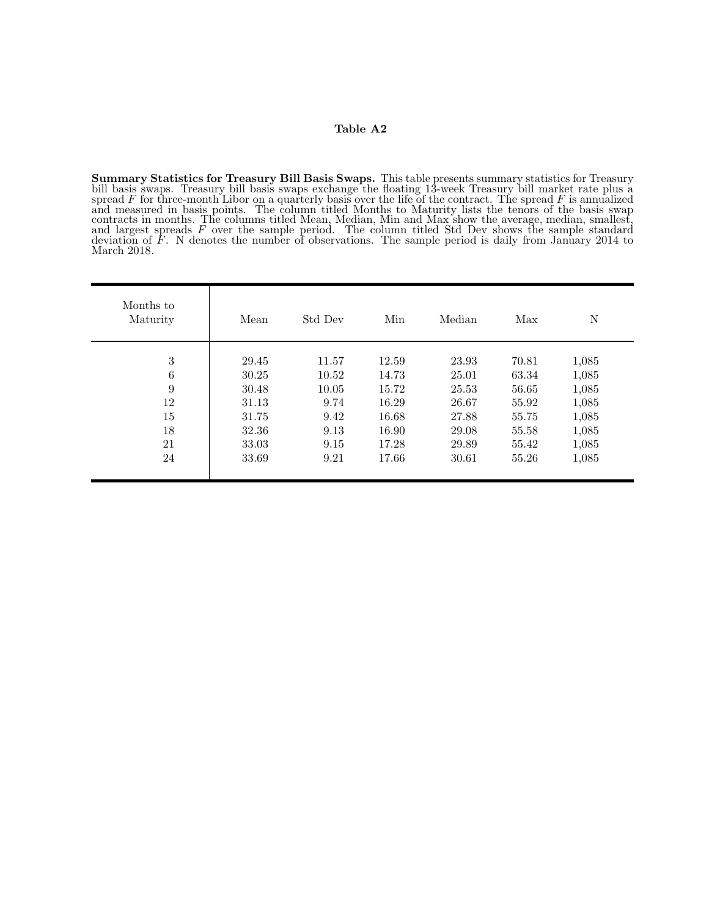Summary Statistics for Treasury Bill Basis Swaps. This table presents summary statistics for Treasury bill basis swaps. Treasury bill basis swaps exchange the floating 13-week Treasury bill market rate plus a<br>spread F for three-month Libor on a quarterly basis over the life of the contract. The spread F is annualized and measured in basis points. The column titled Months to Maturity lists the tenors of the basis swap contracts in months. The columns titled Mean, Median, Min and Max show the average, median, smallest, and largest spreads F over the sample period. The column titled Std Dev shows the sample standard deviation of F. N denotes the number of observations. The sample period is daily from January 2014 to March 2018.

| Months to<br>Maturity | Mean  | Std Dev | Min   | Median | Max   | N     |  |
|-----------------------|-------|---------|-------|--------|-------|-------|--|
| 3                     | 29.45 | 11.57   | 12.59 | 23.93  | 70.81 | 1,085 |  |
| 6                     | 30.25 | 10.52   | 14.73 | 25.01  | 63.34 | 1,085 |  |
| $\boldsymbol{9}$      | 30.48 | 10.05   | 15.72 | 25.53  | 56.65 | 1,085 |  |
| 12                    | 31.13 | 9.74    | 16.29 | 26.67  | 55.92 | 1,085 |  |
| 15                    | 31.75 | 9.42    | 16.68 | 27.88  | 55.75 | 1,085 |  |
| 18                    | 32.36 | 9.13    | 16.90 | 29.08  | 55.58 | 1,085 |  |
| 21                    | 33.03 | 9.15    | 17.28 | 29.89  | 55.42 | 1,085 |  |
| 24                    | 33.69 | 9.21    | 17.66 | 30.61  | 55.26 | 1,085 |  |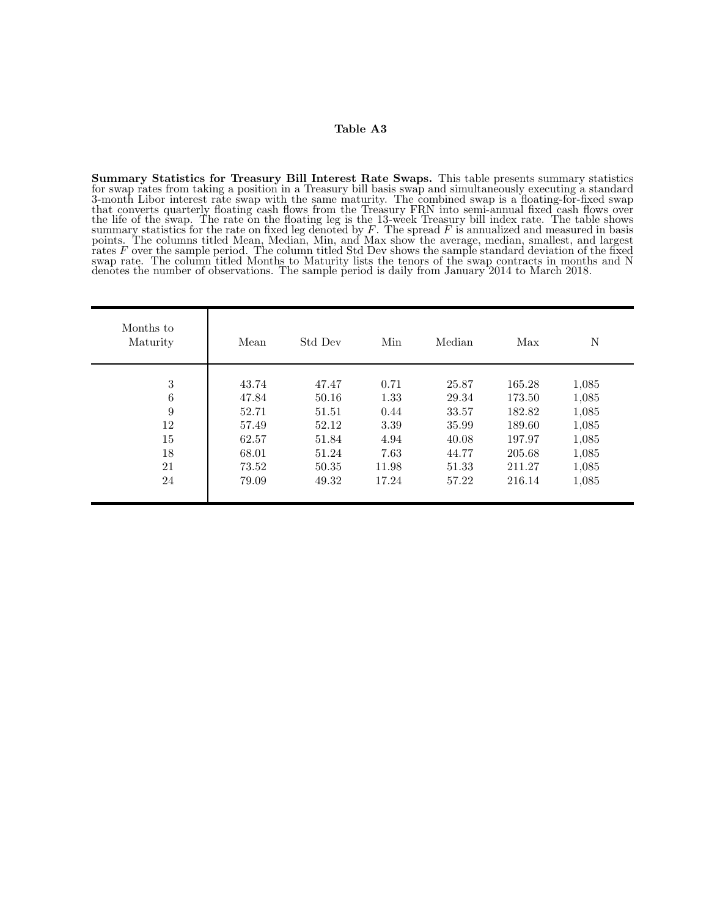Summary Statistics for Treasury Bill Interest Rate Swaps. This table presents summary statistics for swap rates from taking a position in a Treasury bill basis swap and simultaneously executing a standard 3-month Libor interest rate swap with the same maturity. The combined swap is a floating-for-fixed swap that converts quarterly floating cash flows from the Treasury FRN into semi-annual fixed cash flows over the life of the swap. The rate on the floating leg is the 13-week Treasury bill index rate. The table shows summary statistics for the rate on fixed leg denoted by  $F$ . The spread  $F$  is annualized and measured in basis points. The columns titled Mean, Median, Min, and Max show the average, median, smallest, and largest rates F over the sample period. The column titled Std Dev shows the sample standard deviation of the fixed swap rate. The column titled Months to Maturity lists the tenors of the swap contracts in months and N denotes the number of observations. The sample period is daily from January 2014 to March 2018.

| Months to<br>Maturity | Mean  | Std Dev | Min   | Median | Max    | N     |
|-----------------------|-------|---------|-------|--------|--------|-------|
| 3                     | 43.74 | 47.47   | 0.71  | 25.87  | 165.28 | 1,085 |
| 6                     | 47.84 | 50.16   | 1.33  | 29.34  | 173.50 | 1,085 |
| 9                     | 52.71 | 51.51   | 0.44  | 33.57  | 182.82 | 1,085 |
| 12                    | 57.49 | 52.12   | 3.39  | 35.99  | 189.60 | 1,085 |
| 15                    | 62.57 | 51.84   | 4.94  | 40.08  | 197.97 | 1,085 |
| 18                    | 68.01 | 51.24   | 7.63  | 44.77  | 205.68 | 1,085 |
| 21                    | 73.52 | 50.35   | 11.98 | 51.33  | 211.27 | 1,085 |
| 24                    | 79.09 | 49.32   | 17.24 | 57.22  | 216.14 | 1,085 |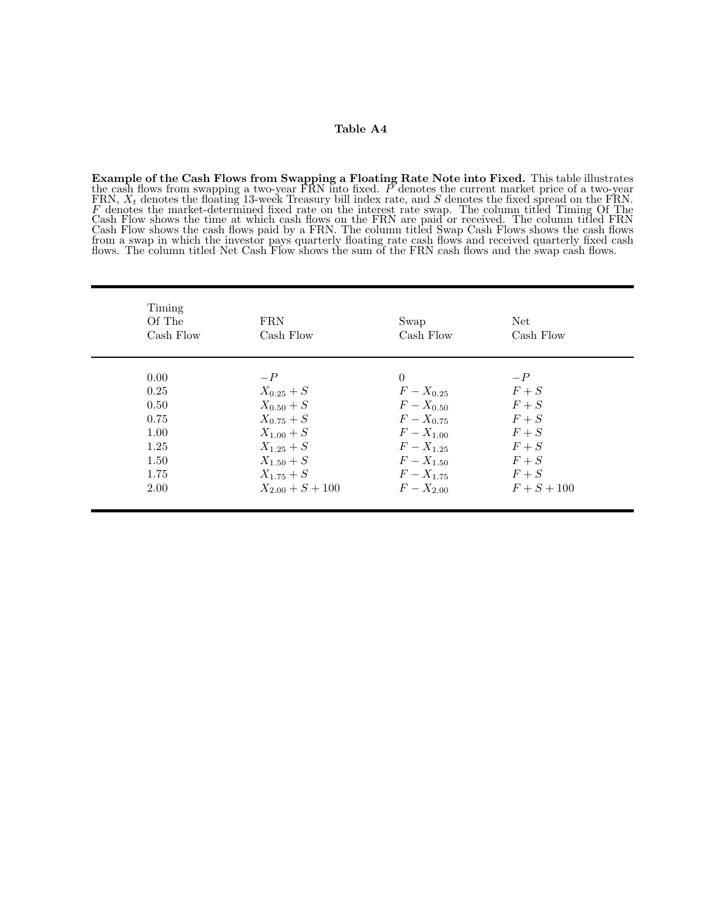**Example of the Cash Flows from Swapping a Floating Rate Note into Fixed.** This table illustrates the cash flows from swapping a two-year FRN into fixed. P denotes the current market price of a two-year FRN,  $X_t$  denotes the floating 13-week Treasury bill index rate, and  $S$  denotes the fixed spread on the FRN. F denotes the market-determined fixed rate on the interest rate swap. The column titled Timing Of The Cash Flow shows the time at which cash flows on the FRN are paid or received. The column titled FRN Cash Flow shows the cash flows paid by a FRN. The column titled Swap Cash Flows shows the cash flows from a swap in which the investor pays quarterly floating rate cash flows and received quarterly fixed cash flows. The column titled Net Cash Flow shows the sum of the FRN cash flows and the swap cash flows.

| Timing<br>Of The<br>Cash Flow | <b>FRN</b><br>Cash Flow | Swap<br>Cash Flow | Net<br>Cash Flow |
|-------------------------------|-------------------------|-------------------|------------------|
| 0.00                          | $-P$                    | $\theta$          | $-P$             |
| 0.25                          | $X_{0.25} + S$          | $F - X_{0.25}$    | $F + S$          |
| 0.50                          | $X_{0.50} + S$          | $F - X_{0.50}$    | $F + S$          |
| 0.75                          | $X_{0.75} + S$          | $F - X_{0.75}$    | $F + S$          |
| 1.00                          | $X_{1,00} + S$          | $F - X_{1,00}$    | $F + S$          |
| 1.25                          | $X_{1,25}+S$            | $F - X_{1,25}$    | $F + S$          |
| 1.50                          | $X_{1,50} + S$          | $F - X_{1,50}$    | $F + S$          |
| 1.75                          | $X_{1.75} + S$          | $F - X_{1.75}$    | $F + S$          |
| 2.00                          | $X_{2.00} + S + 100$    | $F - X_{2,00}$    | $F + S + 100$    |
|                               |                         |                   |                  |